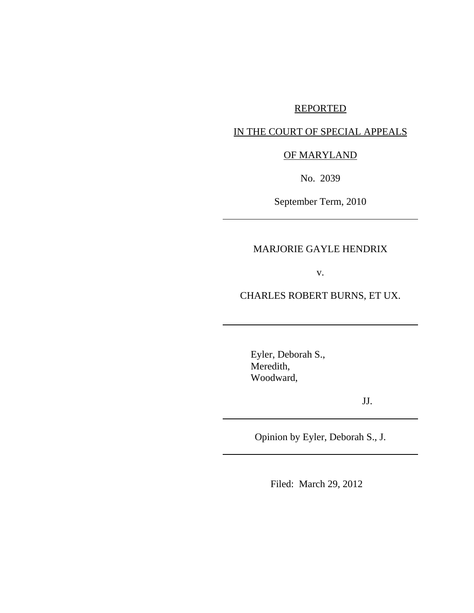# REPORTED

# IN THE COURT OF SPECIAL APPEALS

# OF MARYLAND

No. 2039

September Term, 2010

# MARJORIE GAYLE HENDRIX

v.

CHARLES ROBERT BURNS, ET UX.

Eyler, Deborah S., Meredith, Woodward,

JJ.

Opinion by Eyler, Deborah S., J.

Filed: March 29, 2012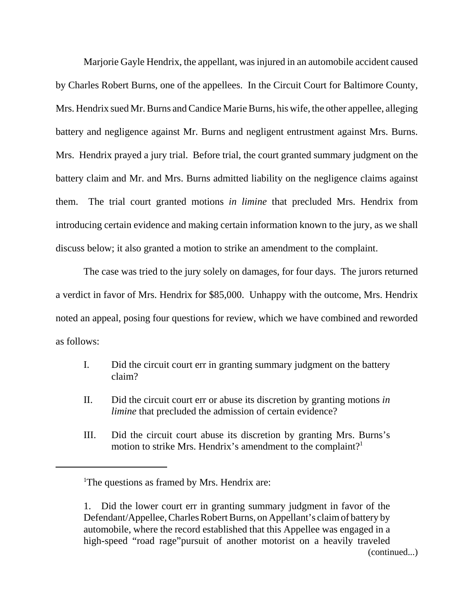Marjorie Gayle Hendrix, the appellant, was injured in an automobile accident caused by Charles Robert Burns, one of the appellees. In the Circuit Court for Baltimore County, Mrs. Hendrix sued Mr. Burns and Candice Marie Burns, his wife, the other appellee, alleging battery and negligence against Mr. Burns and negligent entrustment against Mrs. Burns. Mrs. Hendrix prayed a jury trial. Before trial, the court granted summary judgment on the battery claim and Mr. and Mrs. Burns admitted liability on the negligence claims against them. The trial court granted motions *in limine* that precluded Mrs. Hendrix from introducing certain evidence and making certain information known to the jury, as we shall discuss below; it also granted a motion to strike an amendment to the complaint.

The case was tried to the jury solely on damages, for four days. The jurors returned a verdict in favor of Mrs. Hendrix for \$85,000. Unhappy with the outcome, Mrs. Hendrix noted an appeal, posing four questions for review, which we have combined and reworded as follows:

- I. Did the circuit court err in granting summary judgment on the battery claim?
- II. Did the circuit court err or abuse its discretion by granting motions *in limine* that precluded the admission of certain evidence?
- III. Did the circuit court abuse its discretion by granting Mrs. Burns's motion to strike Mrs. Hendrix's amendment to the complaint?<sup>1</sup>

<sup>&</sup>lt;sup>1</sup>The questions as framed by Mrs. Hendrix are:

<sup>1.</sup> Did the lower court err in granting summary judgment in favor of the Defendant/Appellee, Charles Robert Burns, on Appellant's claim of battery by automobile, where the record established that this Appellee was engaged in a high-speed "road rage"pursuit of another motorist on a heavily traveled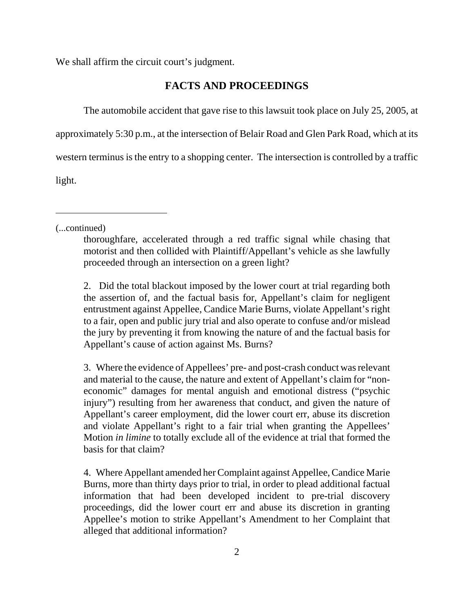We shall affirm the circuit court's judgment.

## **FACTS AND PROCEEDINGS**

The automobile accident that gave rise to this lawsuit took place on July 25, 2005, at

approximately 5:30 p.m., at the intersection of Belair Road and Glen Park Road, which at its

western terminus is the entry to a shopping center. The intersection is controlled by a traffic

light.

(...continued)

2. Did the total blackout imposed by the lower court at trial regarding both the assertion of, and the factual basis for, Appellant's claim for negligent entrustment against Appellee, Candice Marie Burns, violate Appellant's right to a fair, open and public jury trial and also operate to confuse and/or mislead the jury by preventing it from knowing the nature of and the factual basis for Appellant's cause of action against Ms. Burns?

3. Where the evidence of Appellees' pre- and post-crash conduct was relevant and material to the cause, the nature and extent of Appellant's claim for "noneconomic" damages for mental anguish and emotional distress ("psychic injury") resulting from her awareness that conduct, and given the nature of Appellant's career employment, did the lower court err, abuse its discretion and violate Appellant's right to a fair trial when granting the Appellees' Motion *in limine* to totally exclude all of the evidence at trial that formed the basis for that claim?

4. Where Appellant amended her Complaint against Appellee, Candice Marie Burns, more than thirty days prior to trial, in order to plead additional factual information that had been developed incident to pre-trial discovery proceedings, did the lower court err and abuse its discretion in granting Appellee's motion to strike Appellant's Amendment to her Complaint that alleged that additional information?

thoroughfare, accelerated through a red traffic signal while chasing that motorist and then collided with Plaintiff/Appellant's vehicle as she lawfully proceeded through an intersection on a green light?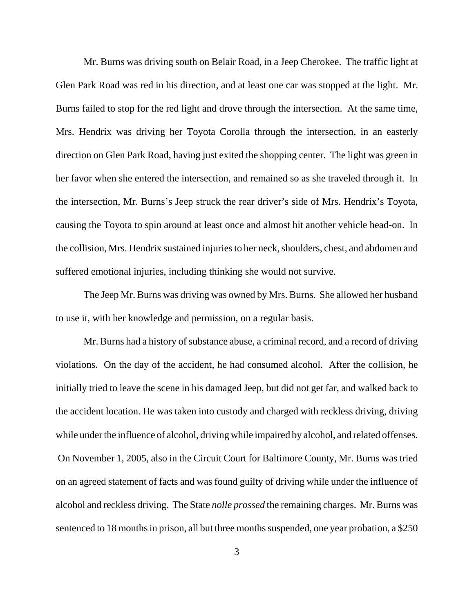Mr. Burns was driving south on Belair Road, in a Jeep Cherokee. The traffic light at Glen Park Road was red in his direction, and at least one car was stopped at the light. Mr. Burns failed to stop for the red light and drove through the intersection. At the same time, Mrs. Hendrix was driving her Toyota Corolla through the intersection, in an easterly direction on Glen Park Road, having just exited the shopping center. The light was green in her favor when she entered the intersection, and remained so as she traveled through it. In the intersection, Mr. Burns's Jeep struck the rear driver's side of Mrs. Hendrix's Toyota, causing the Toyota to spin around at least once and almost hit another vehicle head-on. In the collision, Mrs. Hendrix sustained injuries to her neck, shoulders, chest, and abdomen and suffered emotional injuries, including thinking she would not survive.

The Jeep Mr. Burns was driving was owned by Mrs. Burns. She allowed her husband to use it, with her knowledge and permission, on a regular basis.

Mr. Burns had a history of substance abuse, a criminal record, and a record of driving violations. On the day of the accident, he had consumed alcohol. After the collision, he initially tried to leave the scene in his damaged Jeep, but did not get far, and walked back to the accident location. He was taken into custody and charged with reckless driving, driving while under the influence of alcohol, driving while impaired by alcohol, and related offenses. On November 1, 2005, also in the Circuit Court for Baltimore County, Mr. Burns was tried on an agreed statement of facts and was found guilty of driving while under the influence of alcohol and reckless driving. The State *nolle prossed* the remaining charges. Mr. Burns was sentenced to 18 months in prison, all but three months suspended, one year probation, a \$250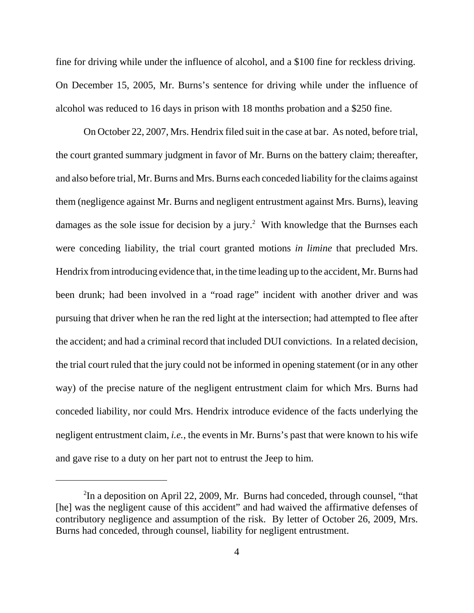fine for driving while under the influence of alcohol, and a \$100 fine for reckless driving. On December 15, 2005, Mr. Burns's sentence for driving while under the influence of alcohol was reduced to 16 days in prison with 18 months probation and a \$250 fine.

On October 22, 2007, Mrs. Hendrix filed suit in the case at bar. As noted, before trial, the court granted summary judgment in favor of Mr. Burns on the battery claim; thereafter, and also before trial, Mr. Burns and Mrs. Burns each conceded liability for the claims against them (negligence against Mr. Burns and negligent entrustment against Mrs. Burns), leaving damages as the sole issue for decision by a jury.<sup>2</sup> With knowledge that the Burnses each were conceding liability, the trial court granted motions *in limine* that precluded Mrs. Hendrix from introducing evidence that, in the time leading up to the accident, Mr. Burns had been drunk; had been involved in a "road rage" incident with another driver and was pursuing that driver when he ran the red light at the intersection; had attempted to flee after the accident; and had a criminal record that included DUI convictions. In a related decision, the trial court ruled that the jury could not be informed in opening statement (or in any other way) of the precise nature of the negligent entrustment claim for which Mrs. Burns had conceded liability, nor could Mrs. Hendrix introduce evidence of the facts underlying the negligent entrustment claim, *i.e.*, the events in Mr. Burns's past that were known to his wife and gave rise to a duty on her part not to entrust the Jeep to him.

 $2^2$ In a deposition on April 22, 2009, Mr. Burns had conceded, through counsel, "that [he] was the negligent cause of this accident" and had waived the affirmative defenses of contributory negligence and assumption of the risk. By letter of October 26, 2009, Mrs. Burns had conceded, through counsel, liability for negligent entrustment.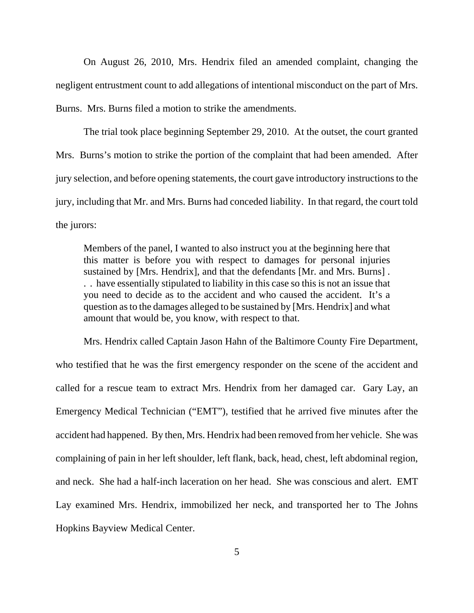On August 26, 2010, Mrs. Hendrix filed an amended complaint, changing the negligent entrustment count to add allegations of intentional misconduct on the part of Mrs. Burns. Mrs. Burns filed a motion to strike the amendments.

The trial took place beginning September 29, 2010. At the outset, the court granted Mrs. Burns's motion to strike the portion of the complaint that had been amended. After jury selection, and before opening statements, the court gave introductory instructions to the jury, including that Mr. and Mrs. Burns had conceded liability. In that regard, the court told the jurors:

Members of the panel, I wanted to also instruct you at the beginning here that this matter is before you with respect to damages for personal injuries sustained by [Mrs. Hendrix], and that the defendants [Mr. and Mrs. Burns] . . . have essentially stipulated to liability in this case so this is not an issue that you need to decide as to the accident and who caused the accident. It's a question as to the damages alleged to be sustained by [Mrs. Hendrix] and what amount that would be, you know, with respect to that.

Mrs. Hendrix called Captain Jason Hahn of the Baltimore County Fire Department, who testified that he was the first emergency responder on the scene of the accident and called for a rescue team to extract Mrs. Hendrix from her damaged car. Gary Lay, an Emergency Medical Technician ("EMT"), testified that he arrived five minutes after the accident had happened. By then, Mrs. Hendrix had been removed from her vehicle. She was complaining of pain in her left shoulder, left flank, back, head, chest, left abdominal region, and neck. She had a half-inch laceration on her head. She was conscious and alert. EMT Lay examined Mrs. Hendrix, immobilized her neck, and transported her to The Johns Hopkins Bayview Medical Center.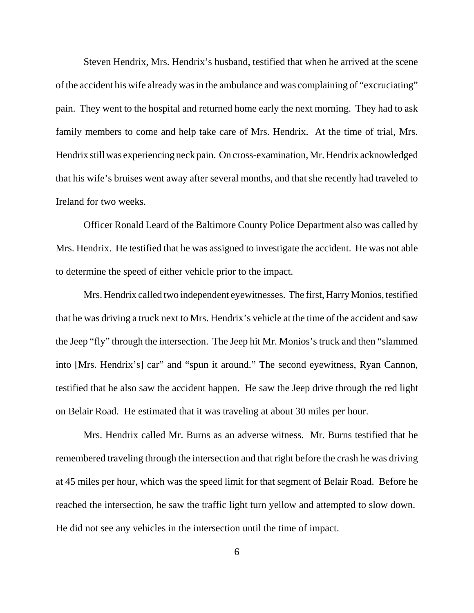Steven Hendrix, Mrs. Hendrix's husband, testified that when he arrived at the scene of the accident his wife already was in the ambulance and was complaining of "excruciating" pain. They went to the hospital and returned home early the next morning. They had to ask family members to come and help take care of Mrs. Hendrix. At the time of trial, Mrs. Hendrix still was experiencing neck pain. On cross-examination, Mr. Hendrix acknowledged that his wife's bruises went away after several months, and that she recently had traveled to Ireland for two weeks.

Officer Ronald Leard of the Baltimore County Police Department also was called by Mrs. Hendrix. He testified that he was assigned to investigate the accident. He was not able to determine the speed of either vehicle prior to the impact.

Mrs. Hendrix called two independent eyewitnesses. The first, Harry Monios, testified that he was driving a truck next to Mrs. Hendrix's vehicle at the time of the accident and saw the Jeep "fly" through the intersection. The Jeep hit Mr. Monios's truck and then "slammed into [Mrs. Hendrix's] car" and "spun it around." The second eyewitness, Ryan Cannon, testified that he also saw the accident happen. He saw the Jeep drive through the red light on Belair Road. He estimated that it was traveling at about 30 miles per hour.

Mrs. Hendrix called Mr. Burns as an adverse witness. Mr. Burns testified that he remembered traveling through the intersection and that right before the crash he was driving at 45 miles per hour, which was the speed limit for that segment of Belair Road. Before he reached the intersection, he saw the traffic light turn yellow and attempted to slow down. He did not see any vehicles in the intersection until the time of impact.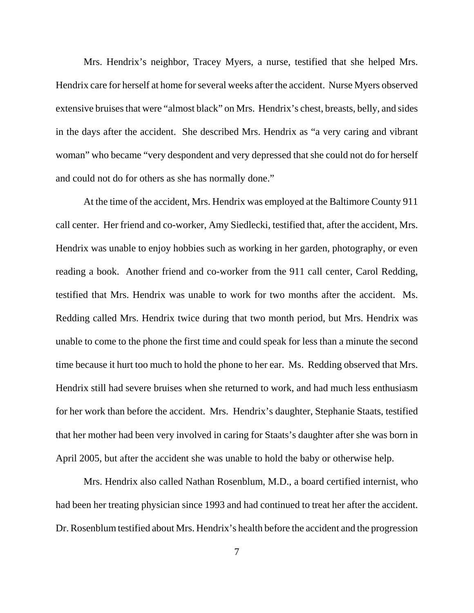Mrs. Hendrix's neighbor, Tracey Myers, a nurse, testified that she helped Mrs. Hendrix care for herself at home for several weeks after the accident. Nurse Myers observed extensive bruises that were "almost black" on Mrs. Hendrix's chest, breasts, belly, and sides in the days after the accident. She described Mrs. Hendrix as "a very caring and vibrant woman" who became "very despondent and very depressed that she could not do for herself and could not do for others as she has normally done."

At the time of the accident, Mrs. Hendrix was employed at the Baltimore County 911 call center. Her friend and co-worker, Amy Siedlecki, testified that, after the accident, Mrs. Hendrix was unable to enjoy hobbies such as working in her garden, photography, or even reading a book. Another friend and co-worker from the 911 call center, Carol Redding, testified that Mrs. Hendrix was unable to work for two months after the accident. Ms. Redding called Mrs. Hendrix twice during that two month period, but Mrs. Hendrix was unable to come to the phone the first time and could speak for less than a minute the second time because it hurt too much to hold the phone to her ear. Ms. Redding observed that Mrs. Hendrix still had severe bruises when she returned to work, and had much less enthusiasm for her work than before the accident. Mrs. Hendrix's daughter, Stephanie Staats, testified that her mother had been very involved in caring for Staats's daughter after she was born in April 2005, but after the accident she was unable to hold the baby or otherwise help.

Mrs. Hendrix also called Nathan Rosenblum, M.D., a board certified internist, who had been her treating physician since 1993 and had continued to treat her after the accident. Dr. Rosenblum testified about Mrs. Hendrix's health before the accident and the progression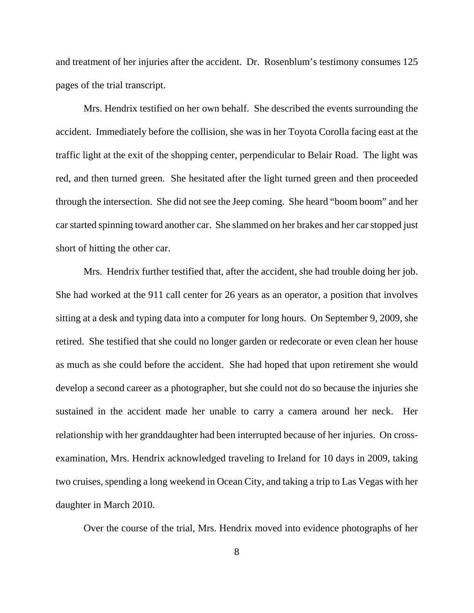and treatment of her injuries after the accident. Dr. Rosenblum's testimony consumes 125 pages of the trial transcript.

Mrs. Hendrix testified on her own behalf. She described the events surrounding the accident. Immediately before the collision, she was in her Toyota Corolla facing east at the traffic light at the exit of the shopping center, perpendicular to Belair Road. The light was red, and then turned green. She hesitated after the light turned green and then proceeded through the intersection. She did not see the Jeep coming. She heard "boom boom" and her car started spinning toward another car. She slammed on her brakes and her car stopped just short of hitting the other car.

Mrs. Hendrix further testified that, after the accident, she had trouble doing her job. She had worked at the 911 call center for 26 years as an operator, a position that involves sitting at a desk and typing data into a computer for long hours. On September 9, 2009, she retired. She testified that she could no longer garden or redecorate or even clean her house as much as she could before the accident. She had hoped that upon retirement she would develop a second career as a photographer, but she could not do so because the injuries she sustained in the accident made her unable to carry a camera around her neck. Her relationship with her granddaughter had been interrupted because of her injuries. On crossexamination, Mrs. Hendrix acknowledged traveling to Ireland for 10 days in 2009, taking two cruises, spending a long weekend in Ocean City, and taking a trip to Las Vegas with her daughter in March 2010.

Over the course of the trial, Mrs. Hendrix moved into evidence photographs of her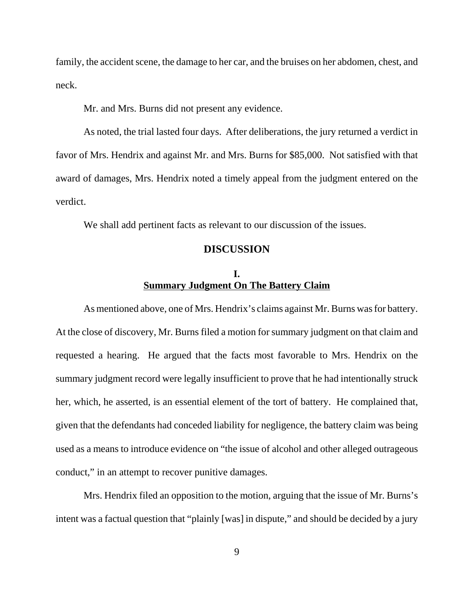family, the accident scene, the damage to her car, and the bruises on her abdomen, chest, and neck.

Mr. and Mrs. Burns did not present any evidence.

As noted, the trial lasted four days. After deliberations, the jury returned a verdict in favor of Mrs. Hendrix and against Mr. and Mrs. Burns for \$85,000. Not satisfied with that award of damages, Mrs. Hendrix noted a timely appeal from the judgment entered on the verdict.

We shall add pertinent facts as relevant to our discussion of the issues.

### **DISCUSSION**

# **I. Summary Judgment On The Battery Claim**

As mentioned above, one of Mrs. Hendrix's claims against Mr. Burns was for battery. At the close of discovery, Mr. Burns filed a motion for summary judgment on that claim and requested a hearing. He argued that the facts most favorable to Mrs. Hendrix on the summary judgment record were legally insufficient to prove that he had intentionally struck her, which, he asserted, is an essential element of the tort of battery. He complained that, given that the defendants had conceded liability for negligence, the battery claim was being used as a means to introduce evidence on "the issue of alcohol and other alleged outrageous conduct," in an attempt to recover punitive damages.

Mrs. Hendrix filed an opposition to the motion, arguing that the issue of Mr. Burns's intent was a factual question that "plainly [was] in dispute," and should be decided by a jury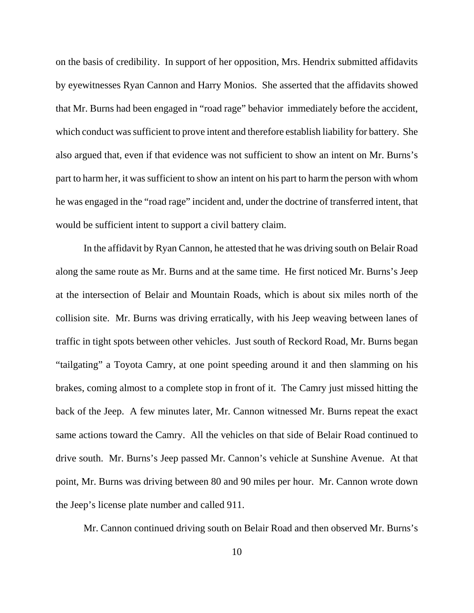on the basis of credibility. In support of her opposition, Mrs. Hendrix submitted affidavits by eyewitnesses Ryan Cannon and Harry Monios. She asserted that the affidavits showed that Mr. Burns had been engaged in "road rage" behavior immediately before the accident, which conduct was sufficient to prove intent and therefore establish liability for battery. She also argued that, even if that evidence was not sufficient to show an intent on Mr. Burns's part to harm her, it was sufficient to show an intent on his part to harm the person with whom he was engaged in the "road rage" incident and, under the doctrine of transferred intent, that would be sufficient intent to support a civil battery claim.

In the affidavit by Ryan Cannon, he attested that he was driving south on Belair Road along the same route as Mr. Burns and at the same time. He first noticed Mr. Burns's Jeep at the intersection of Belair and Mountain Roads, which is about six miles north of the collision site. Mr. Burns was driving erratically, with his Jeep weaving between lanes of traffic in tight spots between other vehicles. Just south of Reckord Road, Mr. Burns began "tailgating" a Toyota Camry, at one point speeding around it and then slamming on his brakes, coming almost to a complete stop in front of it. The Camry just missed hitting the back of the Jeep. A few minutes later, Mr. Cannon witnessed Mr. Burns repeat the exact same actions toward the Camry. All the vehicles on that side of Belair Road continued to drive south. Mr. Burns's Jeep passed Mr. Cannon's vehicle at Sunshine Avenue. At that point, Mr. Burns was driving between 80 and 90 miles per hour. Mr. Cannon wrote down the Jeep's license plate number and called 911.

Mr. Cannon continued driving south on Belair Road and then observed Mr. Burns's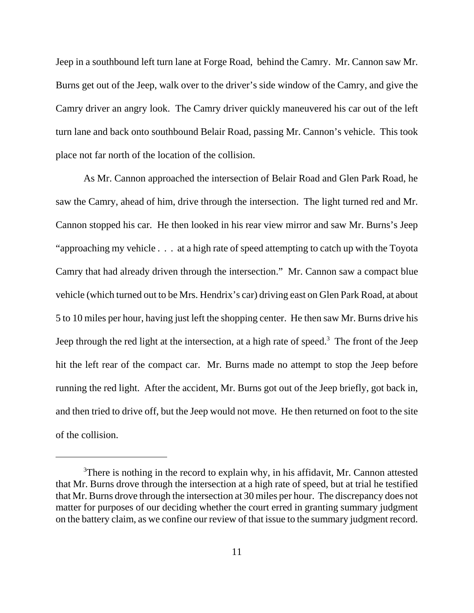Jeep in a southbound left turn lane at Forge Road, behind the Camry. Mr. Cannon saw Mr. Burns get out of the Jeep, walk over to the driver's side window of the Camry, and give the Camry driver an angry look. The Camry driver quickly maneuvered his car out of the left turn lane and back onto southbound Belair Road, passing Mr. Cannon's vehicle. This took place not far north of the location of the collision.

As Mr. Cannon approached the intersection of Belair Road and Glen Park Road, he saw the Camry, ahead of him, drive through the intersection. The light turned red and Mr. Cannon stopped his car. He then looked in his rear view mirror and saw Mr. Burns's Jeep "approaching my vehicle . . . at a high rate of speed attempting to catch up with the Toyota Camry that had already driven through the intersection." Mr. Cannon saw a compact blue vehicle (which turned out to be Mrs. Hendrix's car) driving east on Glen Park Road, at about 5 to 10 miles per hour, having just left the shopping center. He then saw Mr. Burns drive his Jeep through the red light at the intersection, at a high rate of speed.<sup>3</sup> The front of the Jeep hit the left rear of the compact car. Mr. Burns made no attempt to stop the Jeep before running the red light. After the accident, Mr. Burns got out of the Jeep briefly, got back in, and then tried to drive off, but the Jeep would not move. He then returned on foot to the site of the collision.

 $3$ There is nothing in the record to explain why, in his affidavit, Mr. Cannon attested that Mr. Burns drove through the intersection at a high rate of speed, but at trial he testified that Mr. Burns drove through the intersection at 30 miles per hour. The discrepancy does not matter for purposes of our deciding whether the court erred in granting summary judgment on the battery claim, as we confine our review of that issue to the summary judgment record.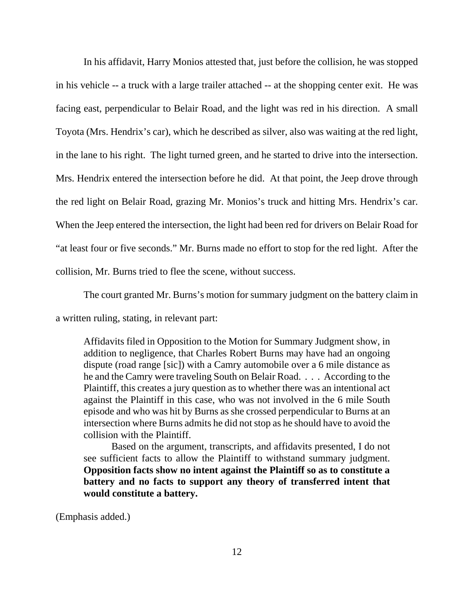In his affidavit, Harry Monios attested that, just before the collision, he was stopped in his vehicle -- a truck with a large trailer attached -- at the shopping center exit. He was facing east, perpendicular to Belair Road, and the light was red in his direction. A small Toyota (Mrs. Hendrix's car), which he described as silver, also was waiting at the red light, in the lane to his right. The light turned green, and he started to drive into the intersection. Mrs. Hendrix entered the intersection before he did. At that point, the Jeep drove through the red light on Belair Road, grazing Mr. Monios's truck and hitting Mrs. Hendrix's car. When the Jeep entered the intersection, the light had been red for drivers on Belair Road for "at least four or five seconds." Mr. Burns made no effort to stop for the red light. After the collision, Mr. Burns tried to flee the scene, without success.

The court granted Mr. Burns's motion for summary judgment on the battery claim in

a written ruling, stating, in relevant part:

Affidavits filed in Opposition to the Motion for Summary Judgment show, in addition to negligence, that Charles Robert Burns may have had an ongoing dispute (road range [sic]) with a Camry automobile over a 6 mile distance as he and the Camry were traveling South on Belair Road. . . . According to the Plaintiff, this creates a jury question as to whether there was an intentional act against the Plaintiff in this case, who was not involved in the 6 mile South episode and who was hit by Burns as she crossed perpendicular to Burns at an intersection where Burns admits he did not stop as he should have to avoid the collision with the Plaintiff.

Based on the argument, transcripts, and affidavits presented, I do not see sufficient facts to allow the Plaintiff to withstand summary judgment. **Opposition facts show no intent against the Plaintiff so as to constitute a battery and no facts to support any theory of transferred intent that would constitute a battery.**

(Emphasis added.)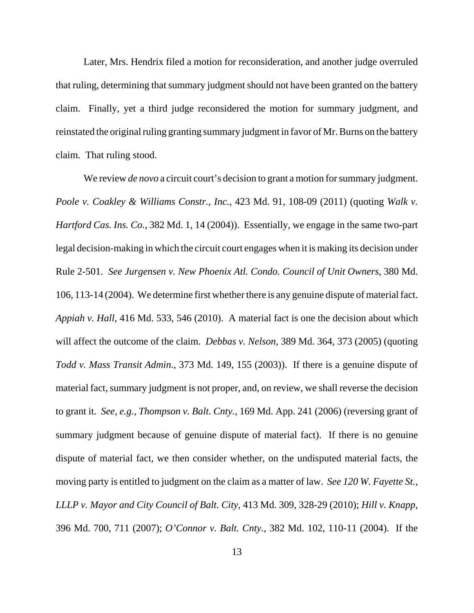Later, Mrs. Hendrix filed a motion for reconsideration, and another judge overruled that ruling, determining that summary judgment should not have been granted on the battery claim. Finally, yet a third judge reconsidered the motion for summary judgment, and reinstated the original ruling granting summary judgment in favor of Mr. Burns on the battery claim. That ruling stood.

We review *de novo* a circuit court's decision to grant a motion for summary judgment. *Poole v. Coakley & Williams Constr., Inc.*, 423 Md. 91, 108-09 (2011) (quoting *Walk v. Hartford Cas. Ins. Co.*, 382 Md. 1, 14 (2004)). Essentially, we engage in the same two-part legal decision-making in which the circuit court engages when it is making its decision under Rule 2-501. *See Jurgensen v. New Phoenix Atl. Condo. Council of Unit Owners*, 380 Md. 106, 113-14 (2004). We determine first whether there is any genuine dispute of material fact. *Appiah v. Hall*, 416 Md. 533, 546 (2010). A material fact is one the decision about which will affect the outcome of the claim. *Debbas v. Nelson*, 389 Md. 364, 373 (2005) (quoting *Todd v. Mass Transit Admin.*, 373 Md. 149, 155 (2003)). If there is a genuine dispute of material fact, summary judgment is not proper, and, on review, we shall reverse the decision to grant it. *See, e.g., Thompson v. Balt. Cnty.*, 169 Md. App. 241 (2006) (reversing grant of summary judgment because of genuine dispute of material fact). If there is no genuine dispute of material fact, we then consider whether, on the undisputed material facts, the moving party is entitled to judgment on the claim as a matter of law. *See 120 W. Fayette St., LLLP v. Mayor and City Council of Balt. City*, 413 Md. 309, 328-29 (2010); *Hill v. Knapp*, 396 Md. 700, 711 (2007); *O'Connor v. Balt. Cnty.*, 382 Md. 102, 110-11 (2004). If the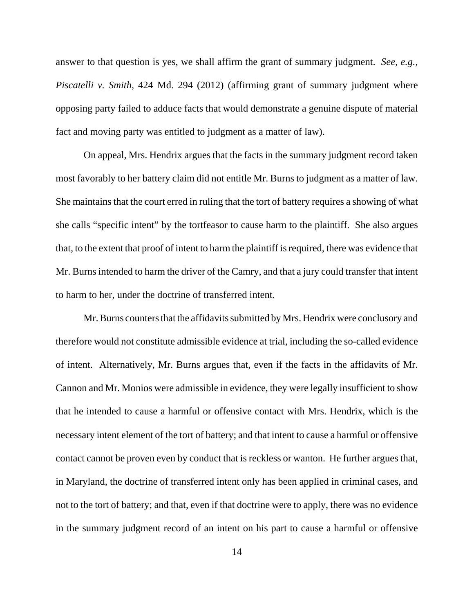answer to that question is yes, we shall affirm the grant of summary judgment. *See, e.g., Piscatelli v. Smith*, 424 Md. 294 (2012) (affirming grant of summary judgment where opposing party failed to adduce facts that would demonstrate a genuine dispute of material fact and moving party was entitled to judgment as a matter of law).

On appeal, Mrs. Hendrix argues that the facts in the summary judgment record taken most favorably to her battery claim did not entitle Mr. Burns to judgment as a matter of law. She maintains that the court erred in ruling that the tort of battery requires a showing of what she calls "specific intent" by the tortfeasor to cause harm to the plaintiff. She also argues that, to the extent that proof of intent to harm the plaintiff is required, there was evidence that Mr. Burns intended to harm the driver of the Camry, and that a jury could transfer that intent to harm to her, under the doctrine of transferred intent.

Mr. Burns counters that the affidavits submitted by Mrs. Hendrix were conclusory and therefore would not constitute admissible evidence at trial, including the so-called evidence of intent. Alternatively, Mr. Burns argues that, even if the facts in the affidavits of Mr. Cannon and Mr. Monios were admissible in evidence, they were legally insufficient to show that he intended to cause a harmful or offensive contact with Mrs. Hendrix, which is the necessary intent element of the tort of battery; and that intent to cause a harmful or offensive contact cannot be proven even by conduct that is reckless or wanton. He further argues that, in Maryland, the doctrine of transferred intent only has been applied in criminal cases, and not to the tort of battery; and that, even if that doctrine were to apply, there was no evidence in the summary judgment record of an intent on his part to cause a harmful or offensive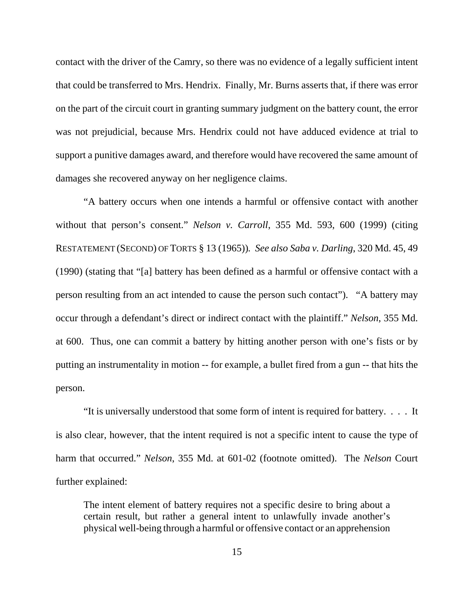contact with the driver of the Camry, so there was no evidence of a legally sufficient intent that could be transferred to Mrs. Hendrix. Finally, Mr. Burns asserts that, if there was error on the part of the circuit court in granting summary judgment on the battery count, the error was not prejudicial, because Mrs. Hendrix could not have adduced evidence at trial to support a punitive damages award, and therefore would have recovered the same amount of damages she recovered anyway on her negligence claims.

"A battery occurs when one intends a harmful or offensive contact with another without that person's consent." *Nelson v. Carroll*, 355 Md. 593, 600 (1999) (citing RESTATEMENT (SECOND) OF TORTS § 13 (1965))*. See also Saba v. Darling*, 320 Md. 45, 49 (1990) (stating that "[a] battery has been defined as a harmful or offensive contact with a person resulting from an act intended to cause the person such contact"). "A battery may occur through a defendant's direct or indirect contact with the plaintiff." *Nelson*, 355 Md. at 600. Thus, one can commit a battery by hitting another person with one's fists or by putting an instrumentality in motion -- for example, a bullet fired from a gun -- that hits the person.

"It is universally understood that some form of intent is required for battery. . . . It is also clear, however, that the intent required is not a specific intent to cause the type of harm that occurred." *Nelson*, 355 Md. at 601-02 (footnote omitted). The *Nelson* Court further explained:

The intent element of battery requires not a specific desire to bring about a certain result, but rather a general intent to unlawfully invade another's physical well-being through a harmful or offensive contact or an apprehension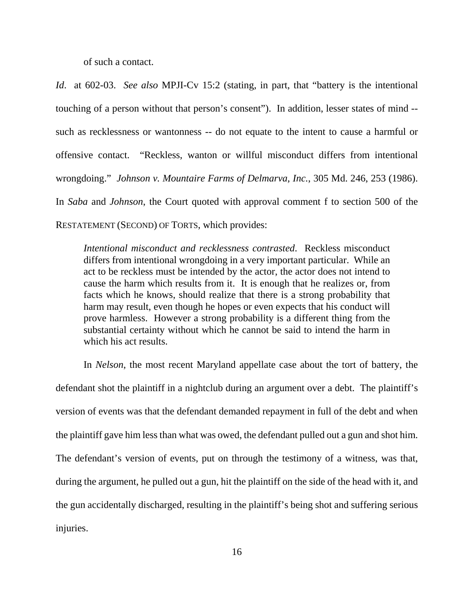of such a contact.

*Id*. at 602-03. *See also* MPJI-Cv 15:2 (stating, in part, that "battery is the intentional touching of a person without that person's consent"). In addition, lesser states of mind - such as recklessness or wantonness -- do not equate to the intent to cause a harmful or offensive contact. "Reckless, wanton or willful misconduct differs from intentional wrongdoing." *Johnson v. Mountaire Farms of Delmarva, Inc.*, 305 Md. 246, 253 (1986). In *Saba* and *Johnson*, the Court quoted with approval comment f to section 500 of the RESTATEMENT (SECOND) OF TORTS, which provides:

*Intentional misconduct and recklessness contrasted*. Reckless misconduct differs from intentional wrongdoing in a very important particular. While an act to be reckless must be intended by the actor, the actor does not intend to cause the harm which results from it. It is enough that he realizes or, from facts which he knows, should realize that there is a strong probability that harm may result, even though he hopes or even expects that his conduct will prove harmless. However a strong probability is a different thing from the substantial certainty without which he cannot be said to intend the harm in which his act results.

In *Nelson*, the most recent Maryland appellate case about the tort of battery, the defendant shot the plaintiff in a nightclub during an argument over a debt. The plaintiff's version of events was that the defendant demanded repayment in full of the debt and when the plaintiff gave him less than what was owed, the defendant pulled out a gun and shot him. The defendant's version of events, put on through the testimony of a witness, was that, during the argument, he pulled out a gun, hit the plaintiff on the side of the head with it, and the gun accidentally discharged, resulting in the plaintiff's being shot and suffering serious injuries.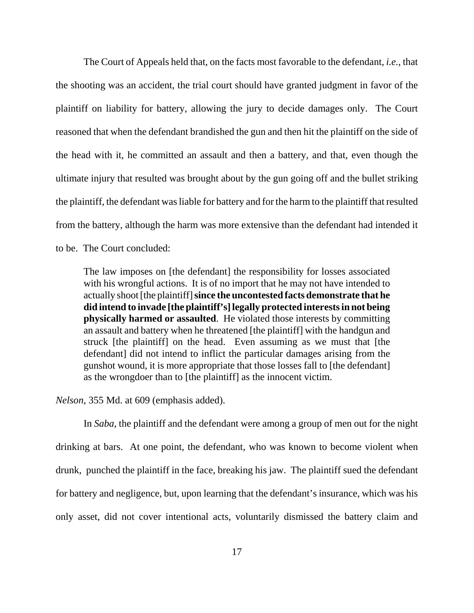The Court of Appeals held that, on the facts most favorable to the defendant, *i.e.*, that the shooting was an accident, the trial court should have granted judgment in favor of the plaintiff on liability for battery, allowing the jury to decide damages only. The Court reasoned that when the defendant brandished the gun and then hit the plaintiff on the side of the head with it, he committed an assault and then a battery, and that, even though the ultimate injury that resulted was brought about by the gun going off and the bullet striking the plaintiff, the defendant was liable for battery and for the harm to the plaintiff that resulted from the battery, although the harm was more extensive than the defendant had intended it to be. The Court concluded:

The law imposes on [the defendant] the responsibility for losses associated with his wrongful actions. It is of no import that he may not have intended to actually shoot [the plaintiff] **since the uncontested facts demonstrate that he did intend to invade [the plaintiff's] legally protected interests in not being physically harmed or assaulted**. He violated those interests by committing an assault and battery when he threatened [the plaintiff] with the handgun and struck [the plaintiff] on the head. Even assuming as we must that [the defendant] did not intend to inflict the particular damages arising from the gunshot wound, it is more appropriate that those losses fall to [the defendant] as the wrongdoer than to [the plaintiff] as the innocent victim.

*Nelson*, 355 Md. at 609 (emphasis added).

In *Saba*, the plaintiff and the defendant were among a group of men out for the night drinking at bars. At one point, the defendant, who was known to become violent when drunk, punched the plaintiff in the face, breaking his jaw. The plaintiff sued the defendant for battery and negligence, but, upon learning that the defendant's insurance, which was his only asset, did not cover intentional acts, voluntarily dismissed the battery claim and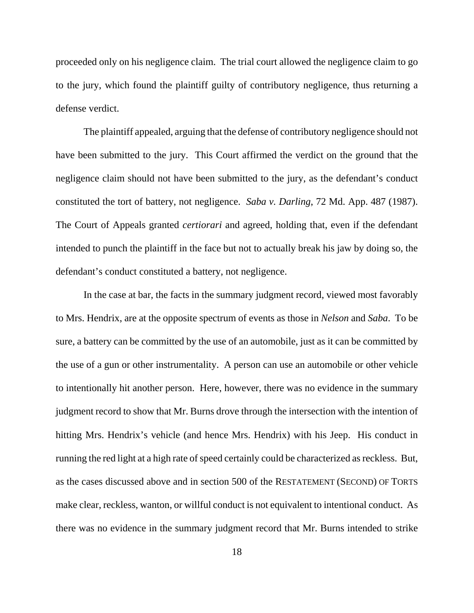proceeded only on his negligence claim. The trial court allowed the negligence claim to go to the jury, which found the plaintiff guilty of contributory negligence, thus returning a defense verdict.

The plaintiff appealed, arguing that the defense of contributory negligence should not have been submitted to the jury. This Court affirmed the verdict on the ground that the negligence claim should not have been submitted to the jury, as the defendant's conduct constituted the tort of battery, not negligence. *Saba v. Darling*, 72 Md. App. 487 (1987). The Court of Appeals granted *certiorari* and agreed, holding that, even if the defendant intended to punch the plaintiff in the face but not to actually break his jaw by doing so, the defendant's conduct constituted a battery, not negligence.

In the case at bar, the facts in the summary judgment record, viewed most favorably to Mrs. Hendrix, are at the opposite spectrum of events as those in *Nelson* and *Saba*. To be sure, a battery can be committed by the use of an automobile, just as it can be committed by the use of a gun or other instrumentality. A person can use an automobile or other vehicle to intentionally hit another person. Here, however, there was no evidence in the summary judgment record to show that Mr. Burns drove through the intersection with the intention of hitting Mrs. Hendrix's vehicle (and hence Mrs. Hendrix) with his Jeep. His conduct in running the red light at a high rate of speed certainly could be characterized as reckless. But, as the cases discussed above and in section 500 of the RESTATEMENT (SECOND) OF TORTS make clear, reckless, wanton, or willful conduct is not equivalent to intentional conduct. As there was no evidence in the summary judgment record that Mr. Burns intended to strike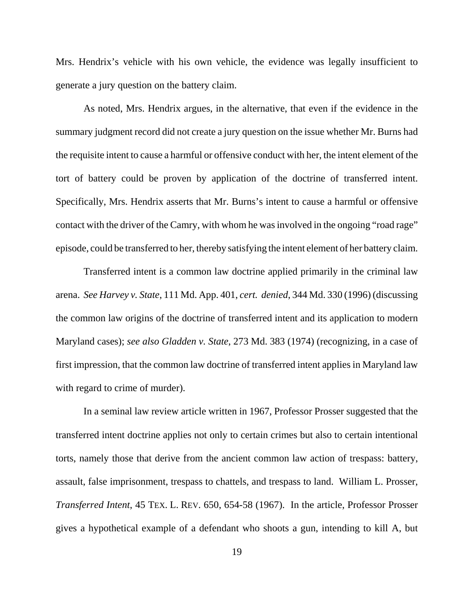Mrs. Hendrix's vehicle with his own vehicle, the evidence was legally insufficient to generate a jury question on the battery claim.

As noted, Mrs. Hendrix argues, in the alternative, that even if the evidence in the summary judgment record did not create a jury question on the issue whether Mr. Burns had the requisite intent to cause a harmful or offensive conduct with her, the intent element of the tort of battery could be proven by application of the doctrine of transferred intent. Specifically, Mrs. Hendrix asserts that Mr. Burns's intent to cause a harmful or offensive contact with the driver of the Camry, with whom he was involved in the ongoing "road rage" episode, could be transferred to her, thereby satisfying the intent element of her battery claim.

Transferred intent is a common law doctrine applied primarily in the criminal law arena. *See Harvey v. State*, 111 Md. App. 401, *cert. denied*, 344 Md. 330 (1996) (discussing the common law origins of the doctrine of transferred intent and its application to modern Maryland cases); *see also Gladden v. State*, 273 Md. 383 (1974) (recognizing, in a case of first impression, that the common law doctrine of transferred intent applies in Maryland law with regard to crime of murder).

In a seminal law review article written in 1967, Professor Prosser suggested that the transferred intent doctrine applies not only to certain crimes but also to certain intentional torts, namely those that derive from the ancient common law action of trespass: battery, assault, false imprisonment, trespass to chattels, and trespass to land. William L. Prosser, *Transferred Intent*, 45 TEX. L. REV. 650, 654-58 (1967). In the article, Professor Prosser gives a hypothetical example of a defendant who shoots a gun, intending to kill A, but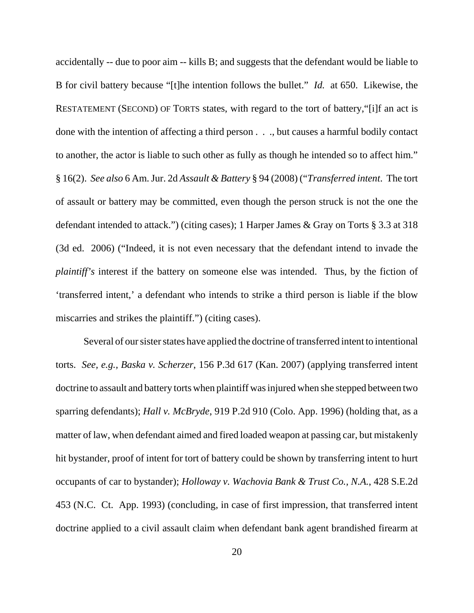accidentally -- due to poor aim -- kills B; and suggests that the defendant would be liable to B for civil battery because "[t]he intention follows the bullet." *Id.* at 650. Likewise, the RESTATEMENT (SECOND) OF TORTS states, with regard to the tort of battery,"[i]f an act is done with the intention of affecting a third person . . ., but causes a harmful bodily contact to another, the actor is liable to such other as fully as though he intended so to affect him." § 16(2). *See also* 6 Am. Jur. 2d *Assault & Battery* § 94 (2008) ("*Transferred intent*. The tort of assault or battery may be committed, even though the person struck is not the one the defendant intended to attack.") (citing cases); 1 Harper James & Gray on Torts § 3.3 at 318 (3d ed. 2006) ("Indeed, it is not even necessary that the defendant intend to invade the *plaintiff's* interest if the battery on someone else was intended. Thus, by the fiction of 'transferred intent,' a defendant who intends to strike a third person is liable if the blow miscarries and strikes the plaintiff.") (citing cases).

Several of our sister states have applied the doctrine of transferred intent to intentional torts. *See, e.g., Baska v. Scherzer*, 156 P.3d 617 (Kan. 2007) (applying transferred intent doctrine to assault and battery torts when plaintiff was injured when she stepped between two sparring defendants); *Hall v. McBryde*, 919 P.2d 910 (Colo. App. 1996) (holding that, as a matter of law, when defendant aimed and fired loaded weapon at passing car, but mistakenly hit bystander, proof of intent for tort of battery could be shown by transferring intent to hurt occupants of car to bystander); *Holloway v. Wachovia Bank & Trust Co., N.A.*, 428 S.E.2d 453 (N.C. Ct. App. 1993) (concluding, in case of first impression, that transferred intent doctrine applied to a civil assault claim when defendant bank agent brandished firearm at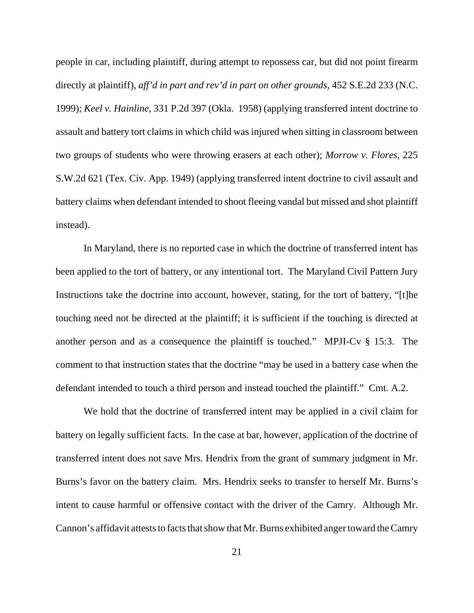people in car, including plaintiff, during attempt to repossess car, but did not point firearm directly at plaintiff), *aff'd in part and rev'd in part on other grounds*, 452 S.E.2d 233 (N.C. 1999); *Keel v. Hainline*, 331 P.2d 397 (Okla. 1958) (applying transferred intent doctrine to assault and battery tort claims in which child was injured when sitting in classroom between two groups of students who were throwing erasers at each other); *Morrow v. Flores,* 225 S.W.2d 621 (Tex. Civ. App. 1949) (applying transferred intent doctrine to civil assault and battery claims when defendant intended to shoot fleeing vandal but missed and shot plaintiff instead).

In Maryland, there is no reported case in which the doctrine of transferred intent has been applied to the tort of battery, or any intentional tort. The Maryland Civil Pattern Jury Instructions take the doctrine into account, however, stating, for the tort of battery, "[t]he touching need not be directed at the plaintiff; it is sufficient if the touching is directed at another person and as a consequence the plaintiff is touched." MPJI-Cv § 15:3. The comment to that instruction states that the doctrine "may be used in a battery case when the defendant intended to touch a third person and instead touched the plaintiff." Cmt. A.2.

We hold that the doctrine of transferred intent may be applied in a civil claim for battery on legally sufficient facts. In the case at bar, however, application of the doctrine of transferred intent does not save Mrs. Hendrix from the grant of summary judgment in Mr. Burns's favor on the battery claim. Mrs. Hendrix seeks to transfer to herself Mr. Burns's intent to cause harmful or offensive contact with the driver of the Camry. Although Mr. Cannon's affidavit attests to facts that show that Mr. Burns exhibited anger toward the Camry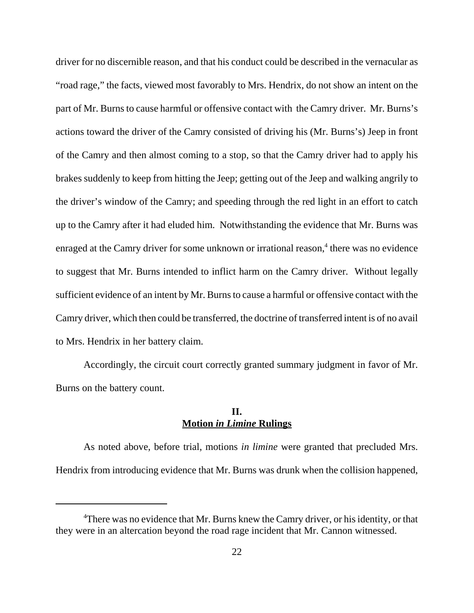driver for no discernible reason, and that his conduct could be described in the vernacular as "road rage," the facts, viewed most favorably to Mrs. Hendrix, do not show an intent on the part of Mr. Burns to cause harmful or offensive contact with the Camry driver. Mr. Burns's actions toward the driver of the Camry consisted of driving his (Mr. Burns's) Jeep in front of the Camry and then almost coming to a stop, so that the Camry driver had to apply his brakes suddenly to keep from hitting the Jeep; getting out of the Jeep and walking angrily to the driver's window of the Camry; and speeding through the red light in an effort to catch up to the Camry after it had eluded him. Notwithstanding the evidence that Mr. Burns was enraged at the Camry driver for some unknown or irrational reason,<sup>4</sup> there was no evidence to suggest that Mr. Burns intended to inflict harm on the Camry driver. Without legally sufficient evidence of an intent by Mr. Burns to cause a harmful or offensive contact with the Camry driver, which then could be transferred, the doctrine of transferred intent is of no avail to Mrs. Hendrix in her battery claim.

Accordingly, the circuit court correctly granted summary judgment in favor of Mr. Burns on the battery count.

#### **II. Motion** *in Limine* **Rulings**

As noted above, before trial, motions *in limine* were granted that precluded Mrs. Hendrix from introducing evidence that Mr. Burns was drunk when the collision happened,

<sup>&</sup>lt;sup>4</sup>There was no evidence that Mr. Burns knew the Camry driver, or his identity, or that they were in an altercation beyond the road rage incident that Mr. Cannon witnessed.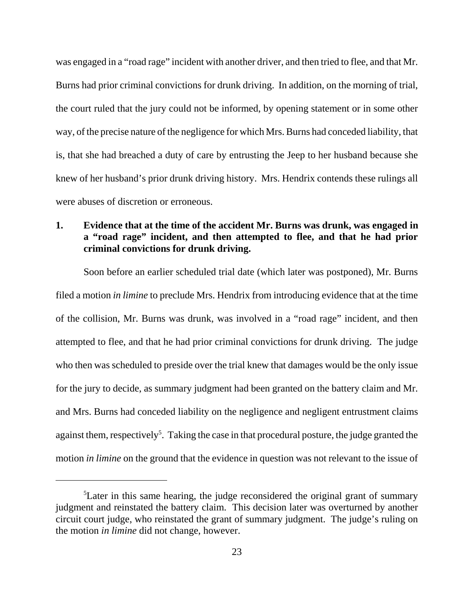was engaged in a "road rage" incident with another driver, and then tried to flee, and that Mr. Burns had prior criminal convictions for drunk driving. In addition, on the morning of trial, the court ruled that the jury could not be informed, by opening statement or in some other way, of the precise nature of the negligence for which Mrs. Burns had conceded liability, that is, that she had breached a duty of care by entrusting the Jeep to her husband because she knew of her husband's prior drunk driving history. Mrs. Hendrix contends these rulings all were abuses of discretion or erroneous.

# **1. Evidence that at the time of the accident Mr. Burns was drunk, was engaged in a "road rage" incident, and then attempted to flee, and that he had prior criminal convictions for drunk driving.**

Soon before an earlier scheduled trial date (which later was postponed), Mr. Burns filed a motion *in limine* to preclude Mrs. Hendrix from introducing evidence that at the time of the collision, Mr. Burns was drunk, was involved in a "road rage" incident, and then attempted to flee, and that he had prior criminal convictions for drunk driving. The judge who then was scheduled to preside over the trial knew that damages would be the only issue for the jury to decide, as summary judgment had been granted on the battery claim and Mr. and Mrs. Burns had conceded liability on the negligence and negligent entrustment claims against them, respectively<sup>5</sup>. Taking the case in that procedural posture, the judge granted the motion *in limine* on the ground that the evidence in question was not relevant to the issue of

<sup>&</sup>lt;sup>5</sup>Later in this same hearing, the judge reconsidered the original grant of summary judgment and reinstated the battery claim. This decision later was overturned by another circuit court judge, who reinstated the grant of summary judgment. The judge's ruling on the motion *in limine* did not change, however.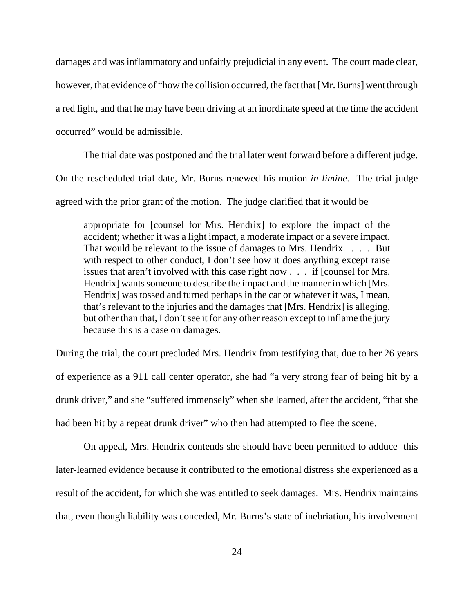damages and was inflammatory and unfairly prejudicial in any event. The court made clear, however, that evidence of "how the collision occurred, the fact that [Mr. Burns] went through a red light, and that he may have been driving at an inordinate speed at the time the accident occurred" would be admissible.

The trial date was postponed and the trial later went forward before a different judge. On the rescheduled trial date, Mr. Burns renewed his motion *in limine.* The trial judge agreed with the prior grant of the motion. The judge clarified that it would be

appropriate for [counsel for Mrs. Hendrix] to explore the impact of the accident; whether it was a light impact, a moderate impact or a severe impact. That would be relevant to the issue of damages to Mrs. Hendrix. . . . . But with respect to other conduct, I don't see how it does anything except raise issues that aren't involved with this case right now . . . if [counsel for Mrs. Hendrix] wants someone to describe the impact and the manner in which [Mrs. Hendrix] was tossed and turned perhaps in the car or whatever it was, I mean, that's relevant to the injuries and the damages that [Mrs. Hendrix] is alleging, but other than that, I don't see it for any other reason except to inflame the jury because this is a case on damages.

During the trial, the court precluded Mrs. Hendrix from testifying that, due to her 26 years of experience as a 911 call center operator, she had "a very strong fear of being hit by a drunk driver," and she "suffered immensely" when she learned, after the accident, "that she had been hit by a repeat drunk driver" who then had attempted to flee the scene.

On appeal, Mrs. Hendrix contends she should have been permitted to adduce this later-learned evidence because it contributed to the emotional distress she experienced as a result of the accident, for which she was entitled to seek damages. Mrs. Hendrix maintains that, even though liability was conceded, Mr. Burns's state of inebriation, his involvement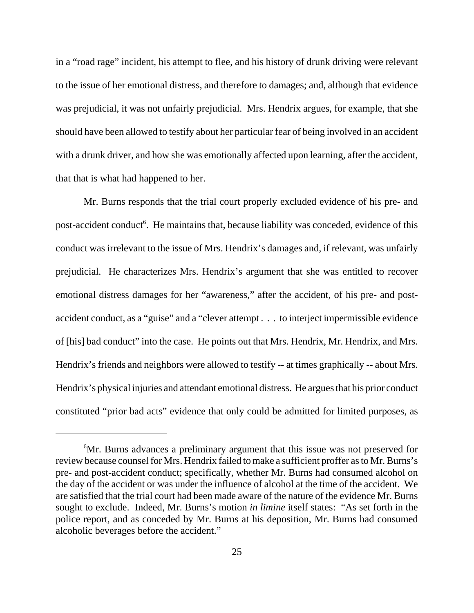in a "road rage" incident, his attempt to flee, and his history of drunk driving were relevant to the issue of her emotional distress, and therefore to damages; and, although that evidence was prejudicial, it was not unfairly prejudicial. Mrs. Hendrix argues, for example, that she should have been allowed to testify about her particular fear of being involved in an accident with a drunk driver, and how she was emotionally affected upon learning, after the accident, that that is what had happened to her.

Mr. Burns responds that the trial court properly excluded evidence of his pre- and post-accident conduct<sup>6</sup>. He maintains that, because liability was conceded, evidence of this conduct was irrelevant to the issue of Mrs. Hendrix's damages and, if relevant, was unfairly prejudicial. He characterizes Mrs. Hendrix's argument that she was entitled to recover emotional distress damages for her "awareness," after the accident, of his pre- and postaccident conduct, as a "guise" and a "clever attempt . . . to interject impermissible evidence of [his] bad conduct" into the case. He points out that Mrs. Hendrix, Mr. Hendrix, and Mrs. Hendrix's friends and neighbors were allowed to testify -- at times graphically -- about Mrs. Hendrix's physical injuries and attendant emotional distress. He argues that his prior conduct constituted "prior bad acts" evidence that only could be admitted for limited purposes, as

<sup>&</sup>lt;sup>6</sup>Mr. Burns advances a preliminary argument that this issue was not preserved for review because counsel for Mrs. Hendrix failed to make a sufficient proffer as to Mr. Burns's pre- and post-accident conduct; specifically, whether Mr. Burns had consumed alcohol on the day of the accident or was under the influence of alcohol at the time of the accident. We are satisfied that the trial court had been made aware of the nature of the evidence Mr. Burns sought to exclude. Indeed, Mr. Burns's motion *in limine* itself states: "As set forth in the police report, and as conceded by Mr. Burns at his deposition, Mr. Burns had consumed alcoholic beverages before the accident."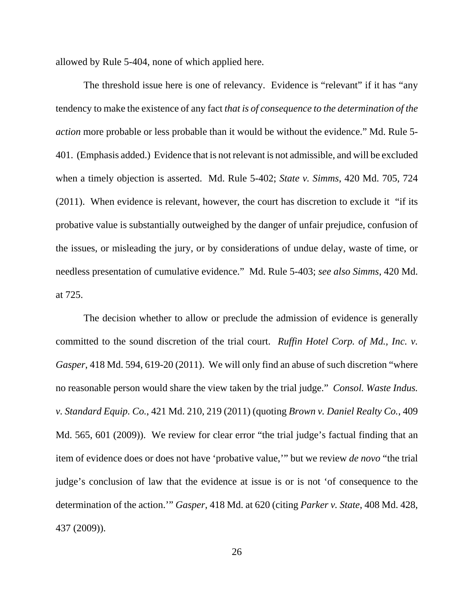allowed by Rule 5-404, none of which applied here.

The threshold issue here is one of relevancy. Evidence is "relevant" if it has "any tendency to make the existence of any fact *that is of consequence to the determination of the action* more probable or less probable than it would be without the evidence." Md. Rule 5- 401. (Emphasis added.) Evidence that is not relevant is not admissible, and will be excluded when a timely objection is asserted. Md. Rule 5-402; *State v. Simms*, 420 Md. 705, 724 (2011). When evidence is relevant, however, the court has discretion to exclude it "if its probative value is substantially outweighed by the danger of unfair prejudice, confusion of the issues, or misleading the jury, or by considerations of undue delay, waste of time, or needless presentation of cumulative evidence." Md. Rule 5-403; *see also Simms*, 420 Md. at 725.

The decision whether to allow or preclude the admission of evidence is generally committed to the sound discretion of the trial court. *Ruffin Hotel Corp. of Md., Inc. v. Gasper*, 418 Md. 594, 619-20 (2011). We will only find an abuse of such discretion "where no reasonable person would share the view taken by the trial judge." *Consol. Waste Indus. v. Standard Equip. Co.*, 421 Md. 210, 219 (2011) (quoting *Brown v. Daniel Realty Co.*, 409 Md. 565, 601 (2009)). We review for clear error "the trial judge's factual finding that an item of evidence does or does not have 'probative value,'" but we review *de novo* "the trial judge's conclusion of law that the evidence at issue is or is not 'of consequence to the determination of the action.'" *Gasper*, 418 Md. at 620 (citing *Parker v. State*, 408 Md. 428, 437 (2009)).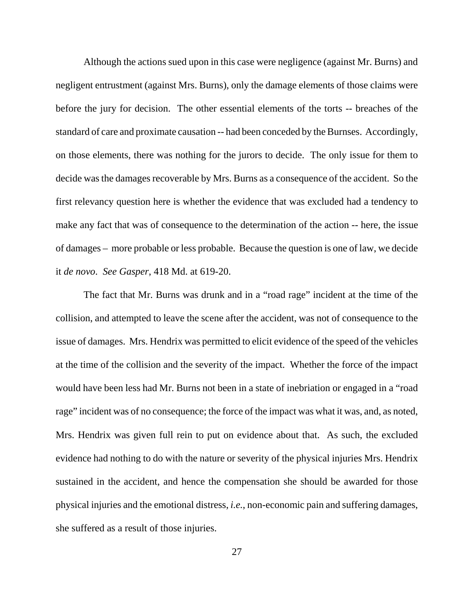Although the actions sued upon in this case were negligence (against Mr. Burns) and negligent entrustment (against Mrs. Burns), only the damage elements of those claims were before the jury for decision. The other essential elements of the torts -- breaches of the standard of care and proximate causation -- had been conceded by the Burnses. Accordingly, on those elements, there was nothing for the jurors to decide. The only issue for them to decide was the damages recoverable by Mrs. Burns as a consequence of the accident. So the first relevancy question here is whether the evidence that was excluded had a tendency to make any fact that was of consequence to the determination of the action -- here, the issue of damages – more probable or less probable. Because the question is one of law, we decide it *de novo*. *See Gasper*, 418 Md. at 619-20.

The fact that Mr. Burns was drunk and in a "road rage" incident at the time of the collision, and attempted to leave the scene after the accident, was not of consequence to the issue of damages. Mrs. Hendrix was permitted to elicit evidence of the speed of the vehicles at the time of the collision and the severity of the impact. Whether the force of the impact would have been less had Mr. Burns not been in a state of inebriation or engaged in a "road rage" incident was of no consequence; the force of the impact was what it was, and, as noted, Mrs. Hendrix was given full rein to put on evidence about that. As such, the excluded evidence had nothing to do with the nature or severity of the physical injuries Mrs. Hendrix sustained in the accident, and hence the compensation she should be awarded for those physical injuries and the emotional distress, *i.e.*, non-economic pain and suffering damages, she suffered as a result of those injuries.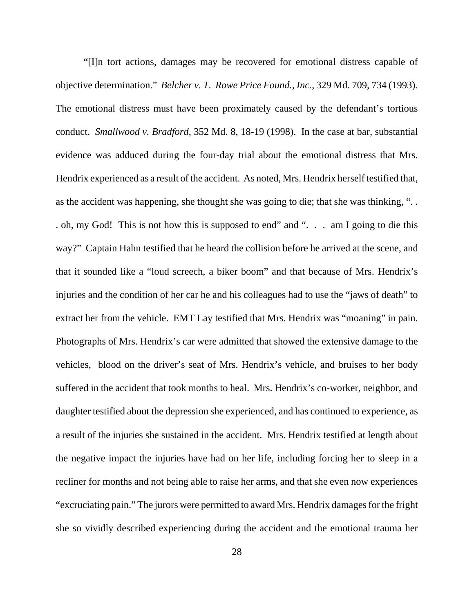"[I]n tort actions, damages may be recovered for emotional distress capable of objective determination." *Belcher v. T. Rowe Price Found., Inc.*, 329 Md. 709, 734 (1993). The emotional distress must have been proximately caused by the defendant's tortious conduct. *Smallwood v. Bradford*, 352 Md. 8, 18-19 (1998). In the case at bar, substantial evidence was adduced during the four-day trial about the emotional distress that Mrs. Hendrix experienced as a result of the accident. As noted, Mrs. Hendrix herself testified that, as the accident was happening, she thought she was going to die; that she was thinking, ". . . oh, my God! This is not how this is supposed to end" and ". . . am I going to die this way?" Captain Hahn testified that he heard the collision before he arrived at the scene, and that it sounded like a "loud screech, a biker boom" and that because of Mrs. Hendrix's injuries and the condition of her car he and his colleagues had to use the "jaws of death" to extract her from the vehicle. EMT Lay testified that Mrs. Hendrix was "moaning" in pain. Photographs of Mrs. Hendrix's car were admitted that showed the extensive damage to the vehicles, blood on the driver's seat of Mrs. Hendrix's vehicle, and bruises to her body suffered in the accident that took months to heal. Mrs. Hendrix's co-worker, neighbor, and daughter testified about the depression she experienced, and has continued to experience, as a result of the injuries she sustained in the accident. Mrs. Hendrix testified at length about the negative impact the injuries have had on her life, including forcing her to sleep in a recliner for months and not being able to raise her arms, and that she even now experiences "excruciating pain." The jurors were permitted to award Mrs. Hendrix damages for the fright she so vividly described experiencing during the accident and the emotional trauma her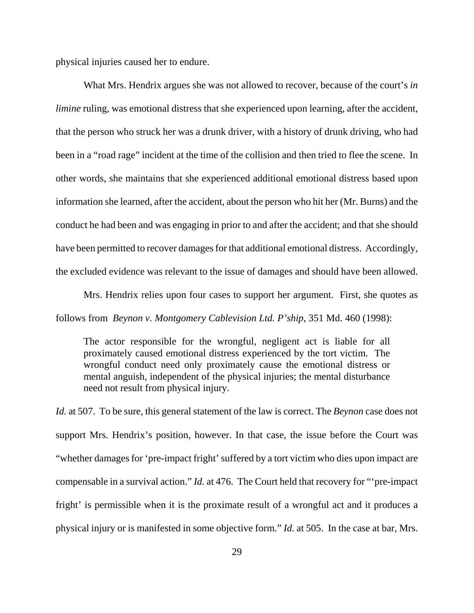physical injuries caused her to endure.

What Mrs. Hendrix argues she was not allowed to recover, because of the court's *in limine* ruling, was emotional distress that she experienced upon learning, after the accident, that the person who struck her was a drunk driver, with a history of drunk driving, who had been in a "road rage" incident at the time of the collision and then tried to flee the scene. In other words, she maintains that she experienced additional emotional distress based upon information she learned, after the accident, about the person who hit her (Mr. Burns) and the conduct he had been and was engaging in prior to and after the accident; and that she should have been permitted to recover damages for that additional emotional distress. Accordingly, the excluded evidence was relevant to the issue of damages and should have been allowed.

Mrs. Hendrix relies upon four cases to support her argument. First, she quotes as follows from *Beynon v. Montgomery Cablevision Ltd. P'ship*, 351 Md. 460 (1998):

The actor responsible for the wrongful, negligent act is liable for all proximately caused emotional distress experienced by the tort victim. The wrongful conduct need only proximately cause the emotional distress or mental anguish, independent of the physical injuries; the mental disturbance need not result from physical injury.

*Id.* at 507. To be sure, this general statement of the law is correct. The *Beynon* case does not support Mrs. Hendrix's position, however. In that case, the issue before the Court was "whether damages for 'pre-impact fright' suffered by a tort victim who dies upon impact are compensable in a survival action." *Id.* at 476. The Court held that recovery for "'pre-impact fright' is permissible when it is the proximate result of a wrongful act and it produces a physical injury or is manifested in some objective form." *Id.* at 505. In the case at bar, Mrs.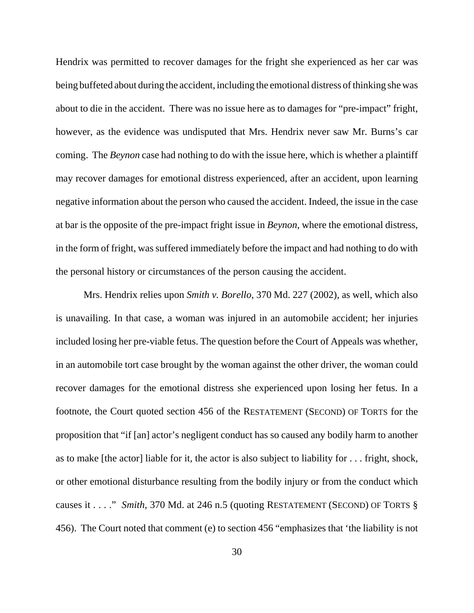Hendrix was permitted to recover damages for the fright she experienced as her car was being buffeted about during the accident, including the emotional distress of thinking she was about to die in the accident. There was no issue here as to damages for "pre-impact" fright, however, as the evidence was undisputed that Mrs. Hendrix never saw Mr. Burns's car coming. The *Beynon* case had nothing to do with the issue here, which is whether a plaintiff may recover damages for emotional distress experienced, after an accident, upon learning negative information about the person who caused the accident. Indeed, the issue in the case at bar is the opposite of the pre-impact fright issue in *Beynon*, where the emotional distress, in the form of fright, was suffered immediately before the impact and had nothing to do with the personal history or circumstances of the person causing the accident.

Mrs. Hendrix relies upon *Smith v. Borello*, 370 Md. 227 (2002), as well, which also is unavailing. In that case, a woman was injured in an automobile accident; her injuries included losing her pre-viable fetus. The question before the Court of Appeals was whether, in an automobile tort case brought by the woman against the other driver, the woman could recover damages for the emotional distress she experienced upon losing her fetus. In a footnote, the Court quoted section 456 of the RESTATEMENT (SECOND) OF TORTS for the proposition that "if [an] actor's negligent conduct has so caused any bodily harm to another as to make [the actor] liable for it, the actor is also subject to liability for . . . fright, shock, or other emotional disturbance resulting from the bodily injury or from the conduct which causes it . . . ." *Smith*, 370 Md. at 246 n.5 (quoting RESTATEMENT (SECOND) OF TORTS § 456). The Court noted that comment (e) to section 456 "emphasizes that 'the liability is not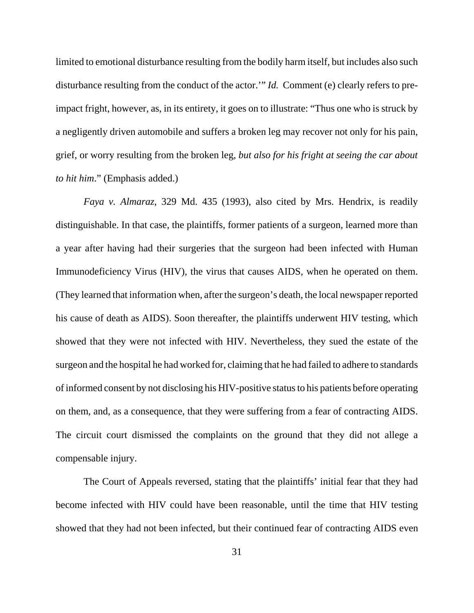limited to emotional disturbance resulting from the bodily harm itself, but includes also such disturbance resulting from the conduct of the actor.'" *Id.* Comment (e) clearly refers to preimpact fright, however, as, in its entirety, it goes on to illustrate: "Thus one who is struck by a negligently driven automobile and suffers a broken leg may recover not only for his pain, grief, or worry resulting from the broken leg, *but also for his fright at seeing the car about to hit him*." (Emphasis added.)

*Faya v. Almaraz*, 329 Md. 435 (1993), also cited by Mrs. Hendrix, is readily distinguishable. In that case, the plaintiffs, former patients of a surgeon, learned more than a year after having had their surgeries that the surgeon had been infected with Human Immunodeficiency Virus (HIV), the virus that causes AIDS, when he operated on them. (They learned that information when, after the surgeon's death, the local newspaper reported his cause of death as AIDS). Soon thereafter, the plaintiffs underwent HIV testing, which showed that they were not infected with HIV. Nevertheless, they sued the estate of the surgeon and the hospital he had worked for, claiming that he had failed to adhere to standards of informed consent by not disclosing his HIV-positive status to his patients before operating on them, and, as a consequence, that they were suffering from a fear of contracting AIDS. The circuit court dismissed the complaints on the ground that they did not allege a compensable injury.

The Court of Appeals reversed, stating that the plaintiffs' initial fear that they had become infected with HIV could have been reasonable, until the time that HIV testing showed that they had not been infected, but their continued fear of contracting AIDS even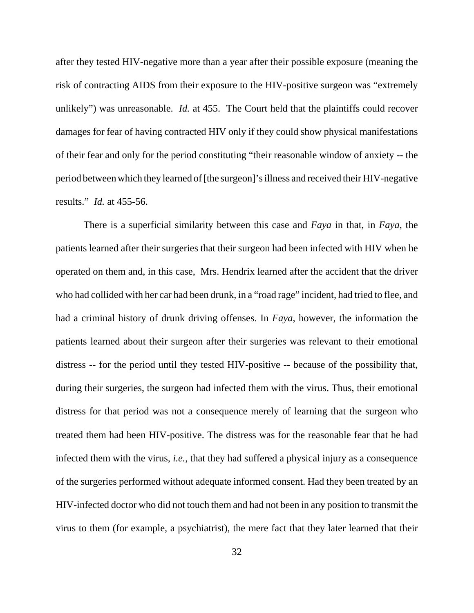after they tested HIV-negative more than a year after their possible exposure (meaning the risk of contracting AIDS from their exposure to the HIV-positive surgeon was "extremely unlikely") was unreasonable. *Id.* at 455. The Court held that the plaintiffs could recover damages for fear of having contracted HIV only if they could show physical manifestations of their fear and only for the period constituting "their reasonable window of anxiety -- the period between which they learned of [the surgeon]'s illness and received their HIV-negative results." *Id.* at 455-56.

There is a superficial similarity between this case and *Faya* in that, in *Faya*, the patients learned after their surgeries that their surgeon had been infected with HIV when he operated on them and, in this case, Mrs. Hendrix learned after the accident that the driver who had collided with her car had been drunk, in a "road rage" incident, had tried to flee, and had a criminal history of drunk driving offenses. In *Faya*, however, the information the patients learned about their surgeon after their surgeries was relevant to their emotional distress -- for the period until they tested HIV-positive -- because of the possibility that, during their surgeries, the surgeon had infected them with the virus. Thus, their emotional distress for that period was not a consequence merely of learning that the surgeon who treated them had been HIV-positive. The distress was for the reasonable fear that he had infected them with the virus, *i.e.*, that they had suffered a physical injury as a consequence of the surgeries performed without adequate informed consent. Had they been treated by an HIV-infected doctor who did not touch them and had not been in any position to transmit the virus to them (for example, a psychiatrist), the mere fact that they later learned that their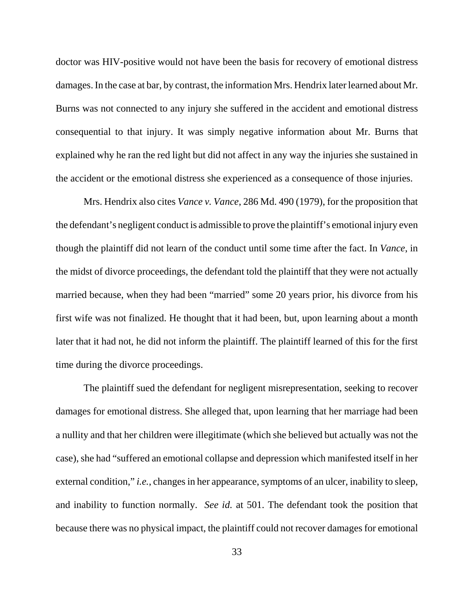doctor was HIV-positive would not have been the basis for recovery of emotional distress damages. In the case at bar, by contrast, the information Mrs. Hendrix later learned about Mr. Burns was not connected to any injury she suffered in the accident and emotional distress consequential to that injury. It was simply negative information about Mr. Burns that explained why he ran the red light but did not affect in any way the injuries she sustained in the accident or the emotional distress she experienced as a consequence of those injuries.

Mrs. Hendrix also cites *Vance v. Vance*, 286 Md. 490 (1979), for the proposition that the defendant's negligent conduct is admissible to prove the plaintiff's emotional injury even though the plaintiff did not learn of the conduct until some time after the fact. In *Vance*, in the midst of divorce proceedings, the defendant told the plaintiff that they were not actually married because, when they had been "married" some 20 years prior, his divorce from his first wife was not finalized. He thought that it had been, but, upon learning about a month later that it had not, he did not inform the plaintiff. The plaintiff learned of this for the first time during the divorce proceedings.

The plaintiff sued the defendant for negligent misrepresentation, seeking to recover damages for emotional distress. She alleged that, upon learning that her marriage had been a nullity and that her children were illegitimate (which she believed but actually was not the case), she had "suffered an emotional collapse and depression which manifested itself in her external condition," *i.e.*, changes in her appearance, symptoms of an ulcer, inability to sleep, and inability to function normally. *See id.* at 501. The defendant took the position that because there was no physical impact, the plaintiff could not recover damages for emotional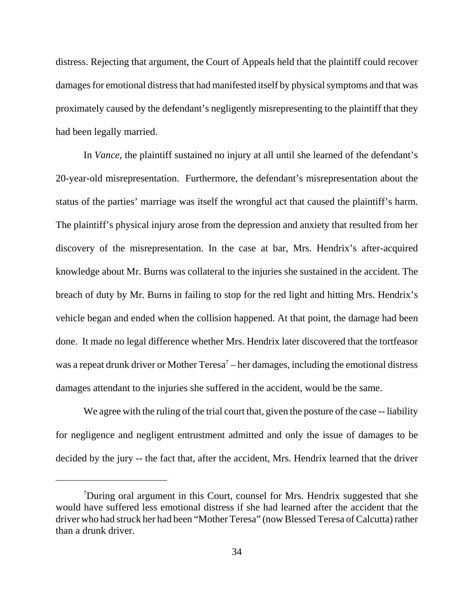distress. Rejecting that argument, the Court of Appeals held that the plaintiff could recover damages for emotional distress that had manifested itself by physical symptoms and that was proximately caused by the defendant's negligently misrepresenting to the plaintiff that they had been legally married.

In *Vance*, the plaintiff sustained no injury at all until she learned of the defendant's 20-year-old misrepresentation. Furthermore, the defendant's misrepresentation about the status of the parties' marriage was itself the wrongful act that caused the plaintiff's harm. The plaintiff's physical injury arose from the depression and anxiety that resulted from her discovery of the misrepresentation. In the case at bar, Mrs. Hendrix's after-acquired knowledge about Mr. Burns was collateral to the injuries she sustained in the accident. The breach of duty by Mr. Burns in failing to stop for the red light and hitting Mrs. Hendrix's vehicle began and ended when the collision happened. At that point, the damage had been done. It made no legal difference whether Mrs. Hendrix later discovered that the tortfeasor was a repeat drunk driver or Mother Teresa<sup>7</sup> – her damages, including the emotional distress damages attendant to the injuries she suffered in the accident, would be the same.

We agree with the ruling of the trial court that, given the posture of the case -- liability for negligence and negligent entrustment admitted and only the issue of damages to be decided by the jury -- the fact that, after the accident, Mrs. Hendrix learned that the driver

<sup>&</sup>lt;sup>7</sup>During oral argument in this Court, counsel for Mrs. Hendrix suggested that she would have suffered less emotional distress if she had learned after the accident that the driver who had struck her had been "Mother Teresa" (now Blessed Teresa of Calcutta) rather than a drunk driver.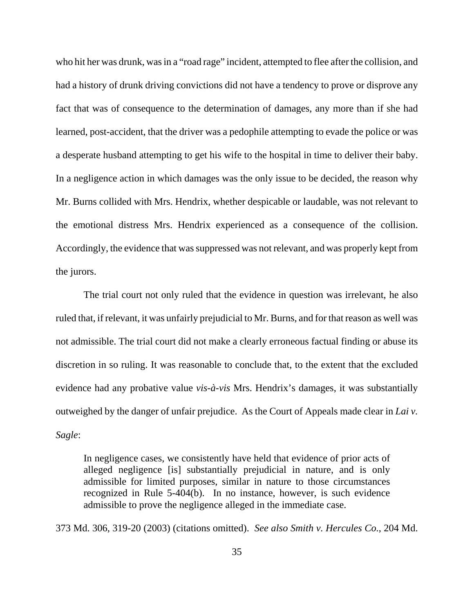who hit her was drunk, was in a "road rage" incident, attempted to flee after the collision, and had a history of drunk driving convictions did not have a tendency to prove or disprove any fact that was of consequence to the determination of damages, any more than if she had learned, post-accident, that the driver was a pedophile attempting to evade the police or was a desperate husband attempting to get his wife to the hospital in time to deliver their baby. In a negligence action in which damages was the only issue to be decided, the reason why Mr. Burns collided with Mrs. Hendrix, whether despicable or laudable, was not relevant to the emotional distress Mrs. Hendrix experienced as a consequence of the collision. Accordingly, the evidence that was suppressed was not relevant, and was properly kept from the jurors.

The trial court not only ruled that the evidence in question was irrelevant, he also ruled that, if relevant, it was unfairly prejudicial to Mr. Burns, and for that reason as well was not admissible. The trial court did not make a clearly erroneous factual finding or abuse its discretion in so ruling. It was reasonable to conclude that, to the extent that the excluded evidence had any probative value *vis-à-vis* Mrs. Hendrix's damages, it was substantially outweighed by the danger of unfair prejudice. As the Court of Appeals made clear in *Lai v. Sagle*:

In negligence cases, we consistently have held that evidence of prior acts of alleged negligence [is] substantially prejudicial in nature, and is only admissible for limited purposes, similar in nature to those circumstances recognized in Rule 5-404(b). In no instance, however, is such evidence admissible to prove the negligence alleged in the immediate case.

373 Md. 306, 319-20 (2003) (citations omitted). *See also Smith v. Hercules Co.*, 204 Md.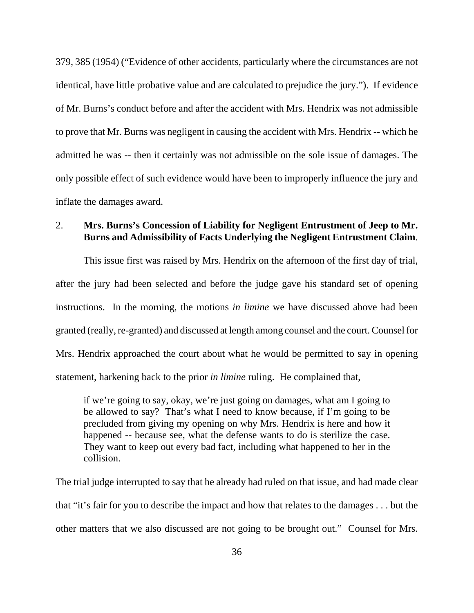379, 385 (1954) ("Evidence of other accidents, particularly where the circumstances are not identical, have little probative value and are calculated to prejudice the jury."). If evidence of Mr. Burns's conduct before and after the accident with Mrs. Hendrix was not admissible to prove that Mr. Burns was negligent in causing the accident with Mrs. Hendrix -- which he admitted he was -- then it certainly was not admissible on the sole issue of damages. The only possible effect of such evidence would have been to improperly influence the jury and inflate the damages award.

## 2. **Mrs. Burns's Concession of Liability for Negligent Entrustment of Jeep to Mr. Burns and Admissibility of Facts Underlying the Negligent Entrustment Claim**.

This issue first was raised by Mrs. Hendrix on the afternoon of the first day of trial, after the jury had been selected and before the judge gave his standard set of opening instructions. In the morning, the motions *in limine* we have discussed above had been granted (really, re-granted) and discussed at length among counsel and the court. Counsel for Mrs. Hendrix approached the court about what he would be permitted to say in opening statement, harkening back to the prior *in limine* ruling. He complained that,

if we're going to say, okay, we're just going on damages, what am I going to be allowed to say? That's what I need to know because, if I'm going to be precluded from giving my opening on why Mrs. Hendrix is here and how it happened -- because see, what the defense wants to do is sterilize the case. They want to keep out every bad fact, including what happened to her in the collision.

The trial judge interrupted to say that he already had ruled on that issue, and had made clear that "it's fair for you to describe the impact and how that relates to the damages . . . but the other matters that we also discussed are not going to be brought out." Counsel for Mrs.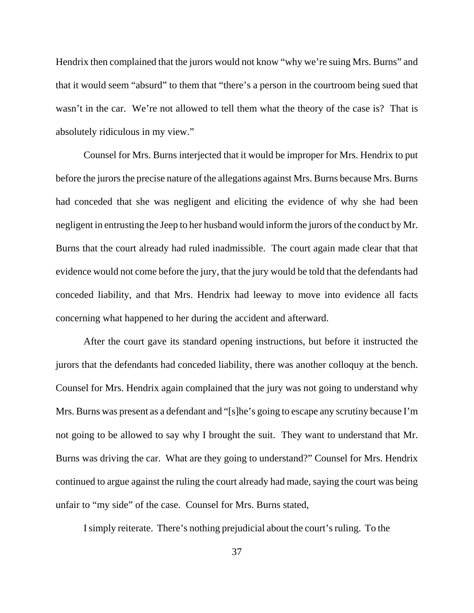Hendrix then complained that the jurors would not know "why we're suing Mrs. Burns" and that it would seem "absurd" to them that "there's a person in the courtroom being sued that wasn't in the car. We're not allowed to tell them what the theory of the case is? That is absolutely ridiculous in my view."

Counsel for Mrs. Burns interjected that it would be improper for Mrs. Hendrix to put before the jurors the precise nature of the allegations against Mrs. Burns because Mrs. Burns had conceded that she was negligent and eliciting the evidence of why she had been negligent in entrusting the Jeep to her husband would inform the jurors of the conduct by Mr. Burns that the court already had ruled inadmissible. The court again made clear that that evidence would not come before the jury, that the jury would be told that the defendants had conceded liability, and that Mrs. Hendrix had leeway to move into evidence all facts concerning what happened to her during the accident and afterward.

After the court gave its standard opening instructions, but before it instructed the jurors that the defendants had conceded liability, there was another colloquy at the bench. Counsel for Mrs. Hendrix again complained that the jury was not going to understand why Mrs. Burns was present as a defendant and "[s]he's going to escape any scrutiny because I'm not going to be allowed to say why I brought the suit. They want to understand that Mr. Burns was driving the car. What are they going to understand?" Counsel for Mrs. Hendrix continued to argue against the ruling the court already had made, saying the court was being unfair to "my side" of the case. Counsel for Mrs. Burns stated,

I simply reiterate. There's nothing prejudicial about the court's ruling. To the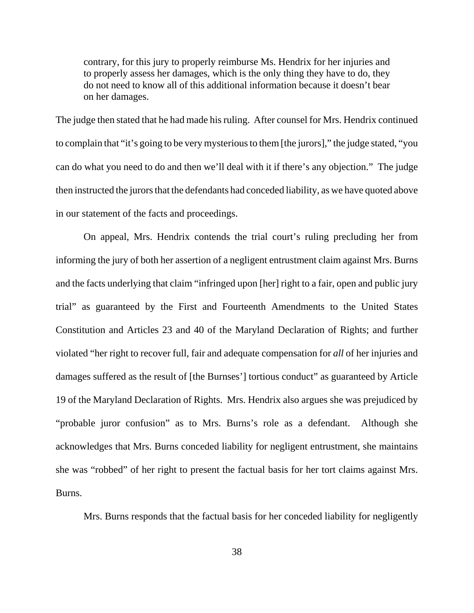contrary, for this jury to properly reimburse Ms. Hendrix for her injuries and to properly assess her damages, which is the only thing they have to do, they do not need to know all of this additional information because it doesn't bear on her damages.

The judge then stated that he had made his ruling. After counsel for Mrs. Hendrix continued to complain that "it's going to be very mysterious to them [the jurors]," the judge stated, "you can do what you need to do and then we'll deal with it if there's any objection." The judge then instructed the jurors that the defendants had conceded liability, as we have quoted above in our statement of the facts and proceedings.

On appeal, Mrs. Hendrix contends the trial court's ruling precluding her from informing the jury of both her assertion of a negligent entrustment claim against Mrs. Burns and the facts underlying that claim "infringed upon [her] right to a fair, open and public jury trial" as guaranteed by the First and Fourteenth Amendments to the United States Constitution and Articles 23 and 40 of the Maryland Declaration of Rights; and further violated "her right to recover full, fair and adequate compensation for *all* of her injuries and damages suffered as the result of [the Burnses'] tortious conduct" as guaranteed by Article 19 of the Maryland Declaration of Rights. Mrs. Hendrix also argues she was prejudiced by "probable juror confusion" as to Mrs. Burns's role as a defendant. Although she acknowledges that Mrs. Burns conceded liability for negligent entrustment, she maintains she was "robbed" of her right to present the factual basis for her tort claims against Mrs. Burns.

Mrs. Burns responds that the factual basis for her conceded liability for negligently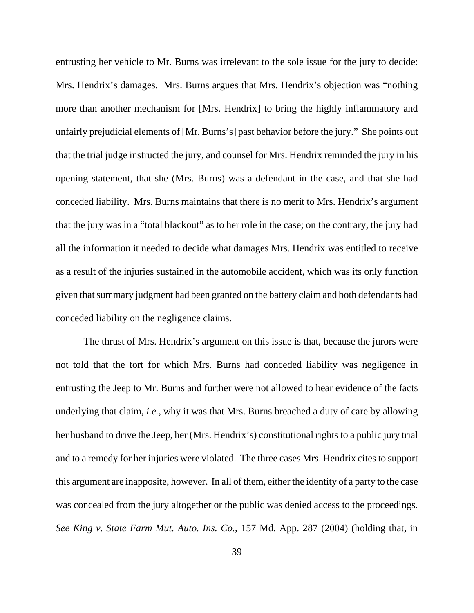entrusting her vehicle to Mr. Burns was irrelevant to the sole issue for the jury to decide: Mrs. Hendrix's damages. Mrs. Burns argues that Mrs. Hendrix's objection was "nothing more than another mechanism for [Mrs. Hendrix] to bring the highly inflammatory and unfairly prejudicial elements of [Mr. Burns's] past behavior before the jury." She points out that the trial judge instructed the jury, and counsel for Mrs. Hendrix reminded the jury in his opening statement, that she (Mrs. Burns) was a defendant in the case, and that she had conceded liability. Mrs. Burns maintains that there is no merit to Mrs. Hendrix's argument that the jury was in a "total blackout" as to her role in the case; on the contrary, the jury had all the information it needed to decide what damages Mrs. Hendrix was entitled to receive as a result of the injuries sustained in the automobile accident, which was its only function given that summary judgment had been granted on the battery claim and both defendants had conceded liability on the negligence claims.

The thrust of Mrs. Hendrix's argument on this issue is that, because the jurors were not told that the tort for which Mrs. Burns had conceded liability was negligence in entrusting the Jeep to Mr. Burns and further were not allowed to hear evidence of the facts underlying that claim, *i.e.*, why it was that Mrs. Burns breached a duty of care by allowing her husband to drive the Jeep, her (Mrs. Hendrix's) constitutional rights to a public jury trial and to a remedy for her injuries were violated. The three cases Mrs. Hendrix cites to support this argument are inapposite, however. In all of them, either the identity of a party to the case was concealed from the jury altogether or the public was denied access to the proceedings. *See King v. State Farm Mut. Auto. Ins. Co.*, 157 Md. App. 287 (2004) (holding that, in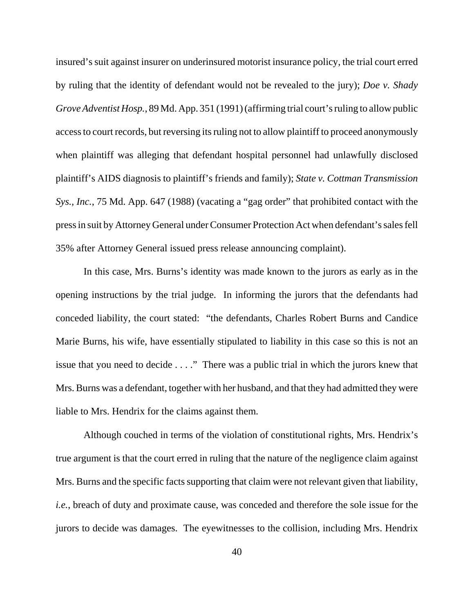insured's suit against insurer on underinsured motorist insurance policy, the trial court erred by ruling that the identity of defendant would not be revealed to the jury); *Doe v. Shady Grove Adventist Hosp.*, 89 Md. App. 351 (1991) (affirming trial court's ruling to allow public access to court records, but reversing its ruling not to allow plaintiff to proceed anonymously when plaintiff was alleging that defendant hospital personnel had unlawfully disclosed plaintiff's AIDS diagnosis to plaintiff's friends and family); *State v. Cottman Transmission Sys., Inc.*, 75 Md. App. 647 (1988) (vacating a "gag order" that prohibited contact with the press in suit by Attorney General under Consumer Protection Act when defendant's sales fell 35% after Attorney General issued press release announcing complaint).

In this case, Mrs. Burns's identity was made known to the jurors as early as in the opening instructions by the trial judge. In informing the jurors that the defendants had conceded liability, the court stated: "the defendants, Charles Robert Burns and Candice Marie Burns, his wife, have essentially stipulated to liability in this case so this is not an issue that you need to decide . . . ." There was a public trial in which the jurors knew that Mrs. Burns was a defendant, together with her husband, and that they had admitted they were liable to Mrs. Hendrix for the claims against them.

Although couched in terms of the violation of constitutional rights, Mrs. Hendrix's true argument is that the court erred in ruling that the nature of the negligence claim against Mrs. Burns and the specific facts supporting that claim were not relevant given that liability, *i.e.*, breach of duty and proximate cause, was conceded and therefore the sole issue for the jurors to decide was damages. The eyewitnesses to the collision, including Mrs. Hendrix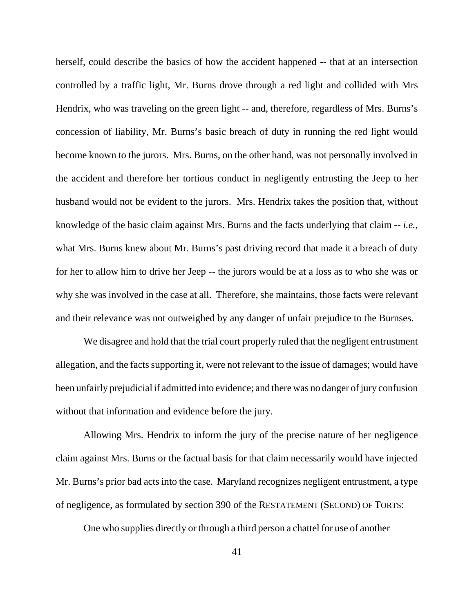herself, could describe the basics of how the accident happened -- that at an intersection controlled by a traffic light, Mr. Burns drove through a red light and collided with Mrs Hendrix, who was traveling on the green light -- and, therefore, regardless of Mrs. Burns's concession of liability, Mr. Burns's basic breach of duty in running the red light would become known to the jurors. Mrs. Burns, on the other hand, was not personally involved in the accident and therefore her tortious conduct in negligently entrusting the Jeep to her husband would not be evident to the jurors. Mrs. Hendrix takes the position that, without knowledge of the basic claim against Mrs. Burns and the facts underlying that claim -- *i.e.*, what Mrs. Burns knew about Mr. Burns's past driving record that made it a breach of duty for her to allow him to drive her Jeep -- the jurors would be at a loss as to who she was or why she was involved in the case at all. Therefore, she maintains, those facts were relevant and their relevance was not outweighed by any danger of unfair prejudice to the Burnses.

We disagree and hold that the trial court properly ruled that the negligent entrustment allegation, and the facts supporting it, were not relevant to the issue of damages; would have been unfairly prejudicial if admitted into evidence; and there was no danger of jury confusion without that information and evidence before the jury.

Allowing Mrs. Hendrix to inform the jury of the precise nature of her negligence claim against Mrs. Burns or the factual basis for that claim necessarily would have injected Mr. Burns's prior bad acts into the case. Maryland recognizes negligent entrustment, a type of negligence, as formulated by section 390 of the RESTATEMENT (SECOND) OF TORTS:

One who supplies directly or through a third person a chattel for use of another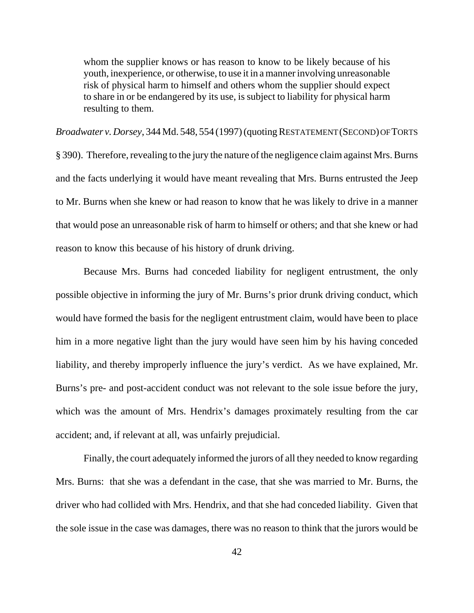whom the supplier knows or has reason to know to be likely because of his youth, inexperience, or otherwise, to use it in a manner involving unreasonable risk of physical harm to himself and others whom the supplier should expect to share in or be endangered by its use, is subject to liability for physical harm resulting to them.

*Broadwater v. Dorsey*, 344 Md. 548, 554 (1997) (quoting RESTATEMENT (SECOND) OF TORTS § 390). Therefore, revealing to the jury the nature of the negligence claim against Mrs. Burns and the facts underlying it would have meant revealing that Mrs. Burns entrusted the Jeep to Mr. Burns when she knew or had reason to know that he was likely to drive in a manner that would pose an unreasonable risk of harm to himself or others; and that she knew or had reason to know this because of his history of drunk driving.

Because Mrs. Burns had conceded liability for negligent entrustment, the only possible objective in informing the jury of Mr. Burns's prior drunk driving conduct, which would have formed the basis for the negligent entrustment claim, would have been to place him in a more negative light than the jury would have seen him by his having conceded liability, and thereby improperly influence the jury's verdict. As we have explained, Mr. Burns's pre- and post-accident conduct was not relevant to the sole issue before the jury, which was the amount of Mrs. Hendrix's damages proximately resulting from the car accident; and, if relevant at all, was unfairly prejudicial.

Finally, the court adequately informed the jurors of all they needed to know regarding Mrs. Burns: that she was a defendant in the case, that she was married to Mr. Burns, the driver who had collided with Mrs. Hendrix, and that she had conceded liability. Given that the sole issue in the case was damages, there was no reason to think that the jurors would be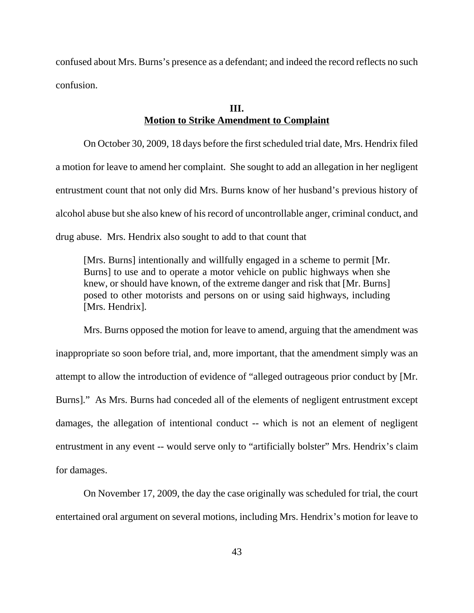confused about Mrs. Burns's presence as a defendant; and indeed the record reflects no such confusion.

#### **III. Motion to Strike Amendment to Complaint**

On October 30, 2009, 18 days before the first scheduled trial date, Mrs. Hendrix filed a motion for leave to amend her complaint. She sought to add an allegation in her negligent entrustment count that not only did Mrs. Burns know of her husband's previous history of alcohol abuse but she also knew of his record of uncontrollable anger, criminal conduct, and drug abuse. Mrs. Hendrix also sought to add to that count that

[Mrs. Burns] intentionally and willfully engaged in a scheme to permit [Mr. Burns] to use and to operate a motor vehicle on public highways when she knew, or should have known, of the extreme danger and risk that [Mr. Burns] posed to other motorists and persons on or using said highways, including [Mrs. Hendrix].

Mrs. Burns opposed the motion for leave to amend, arguing that the amendment was inappropriate so soon before trial, and, more important, that the amendment simply was an attempt to allow the introduction of evidence of "alleged outrageous prior conduct by [Mr. Burns]." As Mrs. Burns had conceded all of the elements of negligent entrustment except damages, the allegation of intentional conduct -- which is not an element of negligent entrustment in any event -- would serve only to "artificially bolster" Mrs. Hendrix's claim for damages.

On November 17, 2009, the day the case originally was scheduled for trial, the court entertained oral argument on several motions, including Mrs. Hendrix's motion for leave to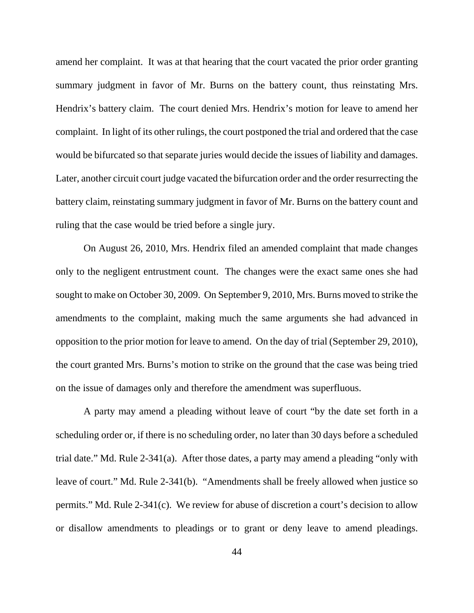amend her complaint. It was at that hearing that the court vacated the prior order granting summary judgment in favor of Mr. Burns on the battery count, thus reinstating Mrs. Hendrix's battery claim. The court denied Mrs. Hendrix's motion for leave to amend her complaint. In light of its other rulings, the court postponed the trial and ordered that the case would be bifurcated so that separate juries would decide the issues of liability and damages. Later, another circuit court judge vacated the bifurcation order and the order resurrecting the battery claim, reinstating summary judgment in favor of Mr. Burns on the battery count and ruling that the case would be tried before a single jury.

On August 26, 2010, Mrs. Hendrix filed an amended complaint that made changes only to the negligent entrustment count. The changes were the exact same ones she had sought to make on October 30, 2009. On September 9, 2010, Mrs. Burns moved to strike the amendments to the complaint, making much the same arguments she had advanced in opposition to the prior motion for leave to amend. On the day of trial (September 29, 2010), the court granted Mrs. Burns's motion to strike on the ground that the case was being tried on the issue of damages only and therefore the amendment was superfluous.

A party may amend a pleading without leave of court "by the date set forth in a scheduling order or, if there is no scheduling order, no later than 30 days before a scheduled trial date." Md. Rule 2-341(a). After those dates, a party may amend a pleading "only with leave of court." Md. Rule 2-341(b). "Amendments shall be freely allowed when justice so permits." Md. Rule 2-341(c). We review for abuse of discretion a court's decision to allow or disallow amendments to pleadings or to grant or deny leave to amend pleadings.